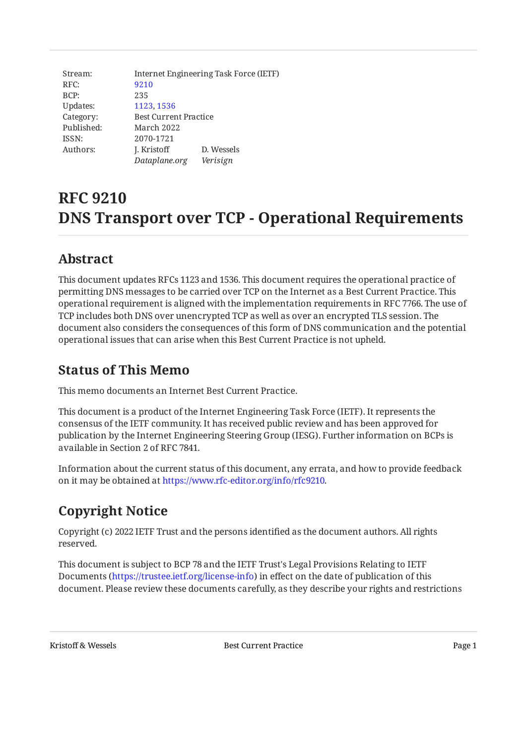| Stream:    | Internet Engineering Task Force (IETF) |            |
|------------|----------------------------------------|------------|
| RFC:       | 9210                                   |            |
| BCP:       | 235                                    |            |
| Updates:   | 1123, 1536                             |            |
| Category:  | <b>Best Current Practice</b>           |            |
| Published: | March 2022                             |            |
| ISSN:      | 2070-1721                              |            |
| Authors:   | J. Kristoff                            | D. Wessels |
|            | Dataplane.org                          | Verisign   |

# **RFC 9210 DNS Transport over TCP - Operational Requirements**

# <span id="page-0-0"></span>**[Abstract](#page-0-0)**

This document updates RFCs 1123 and 1536. This document requires the operational practice of permitting DNS messages to be carried over TCP on the Internet as a Best Current Practice. This operational requirement is aligned with the implementation requirements in RFC 7766. The use of TCP includes both DNS over unencrypted TCP as well as over an encrypted TLS session. The document also considers the consequences of this form of DNS communication and the potential operational issues that can arise when this Best Current Practice is not upheld.

# <span id="page-0-1"></span>**[Status of This Memo](#page-0-1)**

This memo documents an Internet Best Current Practice.

This document is a product of the Internet Engineering Task Force (IETF). It represents the consensus of the IETF community. It has received public review and has been approved for publication by the Internet Engineering Steering Group (IESG). Further information on BCPs is available in Section 2 of RFC 7841.

Information about the current status of this document, any errata, and how to provide feedback on it may be obtained at [https://www.rfc-editor.org/info/rfc9210.](https://www.rfc-editor.org/info/rfc9210)

# <span id="page-0-2"></span>**[Copyright Notice](#page-0-2)**

Copyright (c) 2022 IETF Trust and the persons identified as the document authors. All rights reserved.

This document is subject to BCP 78 and the IETF Trust's Legal Provisions Relating to IETF Documents (<https://trustee.ietf.org/license-info>) in effect on the date of publication of this document. Please review these documents carefully, as they describe your rights and restrictions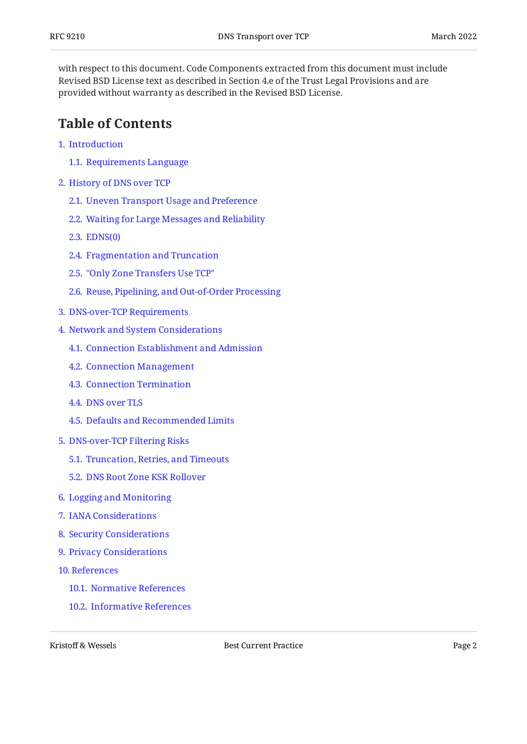with respect to this document. Code Components extracted from this document must include Revised BSD License text as described in Section 4.e of the Trust Legal Provisions and are provided without warranty as described in the Revised BSD License.

### <span id="page-1-0"></span>**[Table of Contents](#page-1-0)**

- [1](#page-3-0). [Introduction](#page-3-0)
	- [1.1.](#page-3-1) [Requirements Language](#page-3-1)
- [2](#page-4-0). [History of DNS over TCP](#page-4-0)
	- [2.1.](#page-4-1) [Uneven Transport Usage and Preference](#page-4-1)
	- [2.2.](#page-4-2) [Waiting for Large Messages and Reliability](#page-4-2)
	- [2.3.](#page-5-0) [EDNS\(0\)](#page-5-0)
	- [2.4.](#page-6-0) [Fragmentation and Truncation](#page-6-0)
	- [2.5.](#page-7-0) ["Only Zone Transfers Use TCP"](#page-7-0)
	- [2.6.](#page-7-1) [Reuse, Pipelining, and Out-of-Order Processing](#page-7-1)
- [3](#page-7-2). [DNS-over-TCP Requirements](#page-7-2)
- [4](#page-9-0). [Network and System Considerations](#page-9-0)
	- [4.1.](#page-9-1) [Connection Establishment and Admission](#page-9-1)
	- [4.2.](#page-10-0) [Connection Management](#page-10-0)
	- [4.3.](#page-11-0) [Connection Termination](#page-11-0)
	- [4.4.](#page-11-1) [DNS over TLS](#page-11-1)
	- [4.5.](#page-12-0) [Defaults and Recommended Limits](#page-12-0)
- [5](#page-13-0). [DNS-over-TCP Filtering Risks](#page-13-0)
	- [5.1.](#page-13-1) [Truncation, Retries, and Timeouts](#page-13-1)
	- [5.2.](#page-13-2) [DNS Root Zone KSK Rollover](#page-13-2)
- [6](#page-14-0). [Logging and Monitoring](#page-14-0)
- [7](#page-14-1). [IANA Considerations](#page-14-1)
- [8](#page-14-2). [Security Considerations](#page-14-2)
- [9](#page-15-0). [Privacy Considerations](#page-15-0)
- [10](#page-15-1). [References](#page-15-1)
	- [10.1.](#page-15-2) [Normative References](#page-15-2)
	- [10.2.](#page-16-0) [Informative References](#page-16-0)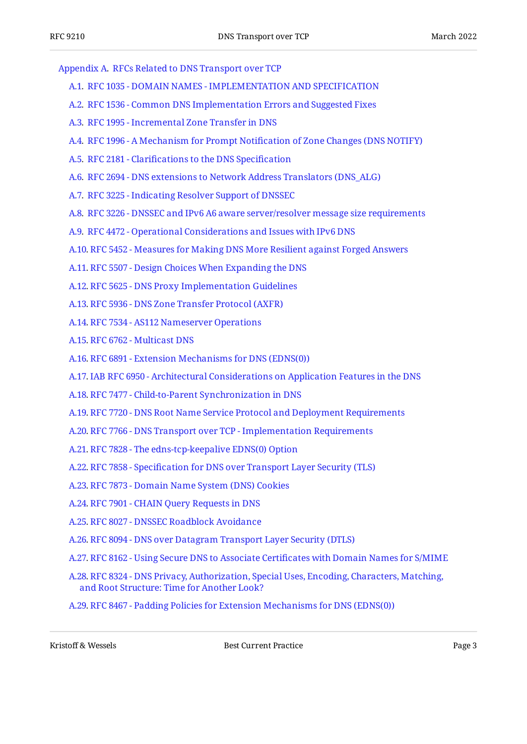[Appendix A.](#page-21-0) [RFCs Related to DNS Transport over TCP](#page-21-0)

- [A.1](#page-21-1). [RFC 1035 DOMAIN NAMES IMPLEMENTATION AND SPECIFICATION](#page-21-1)
- [A.2](#page-22-0). [RFC 1536 Common DNS Implementation Errors and Suggested Fixes](#page-22-0)
- [A.3](#page-22-1). [RFC 1995 Incremental Zone Transfer in DNS](#page-22-1)
- [A.4](#page-22-2). [RFC 1996 A Mechanism for Prompt Noti](#page-22-2)fication of Zone Changes (DNS NOTIFY)
- [A.5](#page-22-3). RFC 2181 Clarifi[cations to the DNS Speci](#page-22-3)fication
- [A.6](#page-22-4). [RFC 2694 DNS extensions to Network Address Translators \(DNS\\_ALG\)](#page-22-4)
- [A.7](#page-22-5). [RFC 3225 Indicating Resolver Support of DNSSEC](#page-22-5)
- [A.8](#page-23-0). [RFC 3226 DNSSEC and IPv6 A6 aware server/resolver message size requirements](#page-23-0)
- [A.9](#page-23-1). [RFC 4472 Operational Considerations and Issues with IPv6 DNS](#page-23-1)
- [A.10.](#page-23-2) [RFC 5452 Measures for Making DNS More Resilient against Forged Answers](#page-23-2)
- [A.11.](#page-23-3) [RFC 5507 Design Choices When Expanding the DNS](#page-23-3)
- [A.12.](#page-23-4) [RFC 5625 DNS Proxy Implementation Guidelines](#page-23-4)
- [A.13.](#page-23-5) [RFC 5936 DNS Zone Transfer Protocol \(AXFR\)](#page-23-5)
- [A.14.](#page-24-0) [RFC 7534 AS112 Nameserver Operations](#page-24-0)
- [A.15.](#page-24-1) [RFC 6762 Multicast DNS](#page-24-1)
- [A.16.](#page-24-2) [RFC 6891 Extension Mechanisms for DNS \(EDNS\(0\)\)](#page-24-2)
- [A.17.](#page-24-3) [IAB RFC 6950 Architectural Considerations on Application Features in the DNS](#page-24-3)
- [A.18.](#page-24-4) [RFC 7477 Child-to-Parent Synchronization in DNS](#page-24-4)
- [A.19.](#page-24-5) [RFC 7720 DNS Root Name Service Protocol and Deployment Requirements](#page-24-5)
- [A.20.](#page-24-6) [RFC 7766 DNS Transport over TCP Implementation Requirements](#page-24-6)
- [A.21.](#page-25-0) [RFC 7828 The edns-tcp-keepalive EDNS\(0\) Option](#page-25-0)
- [A.22.](#page-25-1) RFC 7858 Specifi[cation for DNS over Transport Layer Security \(TLS\)](#page-25-1)
- [A.23.](#page-25-2) [RFC 7873 Domain Name System \(DNS\) Cookies](#page-25-2)
- [A.24.](#page-25-3) [RFC 7901 CHAIN Query Requests in DNS](#page-25-3)
- [A.25.](#page-25-4) [RFC 8027 DNSSEC Roadblock Avoidance](#page-25-4)
- [A.26.](#page-25-5) [RFC 8094 DNS over Datagram Transport Layer Security \(DTLS\)](#page-25-5)
- [A.27.](#page-26-0) [RFC 8162 Using Secure DNS to Associate Certi](#page-26-0)ficates with Domain Names for S/MIME
- [A.28.](#page-26-1) [RFC 8324 DNS Privacy, Authorization, Special Uses, Encoding, Characters, Matching,](#page-26-1) [and Root Structure: Time for Another Look?](#page-26-1)

[A.29.](#page-26-2) [RFC 8467 - Padding Policies for Extension Mechanisms for DNS \(EDNS\(0\)\)](#page-26-2)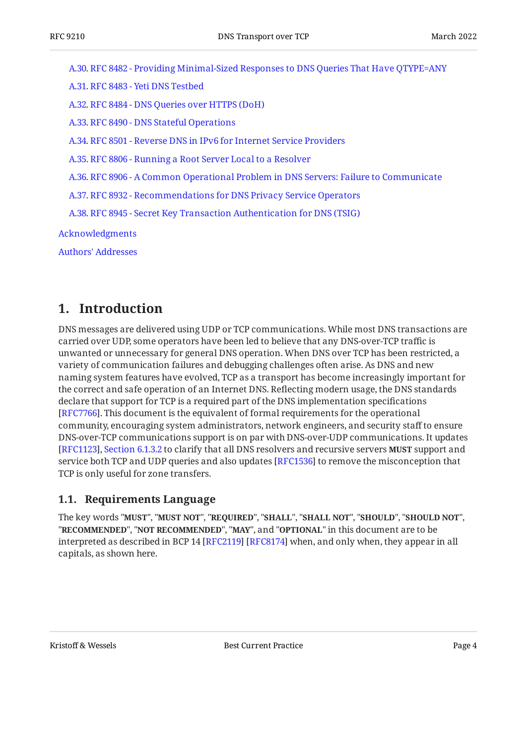[A.30.](#page-26-3) [RFC 8482 - Providing Minimal-Sized Responses to DNS Queries That Have QTYPE=ANY](#page-26-3) [A.31.](#page-26-4) [RFC 8483 - Yeti DNS Testbed](#page-26-4) [A.32.](#page-26-5) [RFC 8484 - DNS Queries over HTTPS \(DoH\)](#page-26-5) [A.33.](#page-27-0) [RFC 8490 - DNS Stateful Operations](#page-27-0) [A.34.](#page-27-1) [RFC 8501 - Reverse DNS in IPv6 for Internet Service Providers](#page-27-1) [A.35.](#page-27-2) [RFC 8806 - Running a Root Server Local to a Resolver](#page-27-2) [A.36.](#page-27-3) [RFC 8906 - A Common Operational Problem in DNS Servers: Failure to Communicate](#page-27-3) [A.37.](#page-27-4) [RFC 8932 - Recommendations for DNS Privacy Service Operators](#page-27-4) [A.38.](#page-27-5) [RFC 8945 - Secret Key Transaction Authentication for DNS \(TSIG\)](#page-27-5) [Acknowledgments](#page-27-6) [Authors' Addresses](#page-28-0)

### <span id="page-3-0"></span>**[1. Introduction](#page-3-0)**

DNS messages are delivered using UDP or TCP communications. While most DNS transactions are carried over UDP, some operators have been led to believe that any DNS-over-TCP traffic is unwanted or unnecessary for general DNS operation. When DNS over TCP has been restricted, a variety of communication failures and debugging challenges often arise. As DNS and new naming system features have evolved, TCP as a transport has become increasingly important for the correct and safe operation of an Internet DNS. Reflecting modern usage, the DNS standards declare that support for TCP is a required part of the DNS implementation specifications [[RFC7766\]](#page-16-1). This document is the equivalent of formal requirements for the operational community, encouraging system administrators, network engineers, and security staff to ensure DNS-over-TCP communications support is on par with DNS-over-UDP communications. It updates [[RFC1123\]](#page-17-0), [Section 6.1.3.2](https://www.rfc-editor.org/rfc/rfc1123#section-6.1.3.2) to clarify that all DNS resolvers and recursive servers MUST support and service both TCP and UDP queries and also updates [RFC1536] to remove the misconception that TCP is only useful for zone transfers.

#### <span id="page-3-1"></span>**[1.1. Requirements Language](#page-3-1)**

The key words "MUST", "MUST NOT", "REQUIRED", "SHALL", "SHALL NOT", "SHOULD", "SHOULD NOT", "**RECOMMENDED", "NOT RECOMMENDED", "MAY",** and "OPTIONAL" in this document are to be interpreted as described in BCP 14 [RFC2119] [RFC8174] when, and only when, they appear in all capitals, as shown here.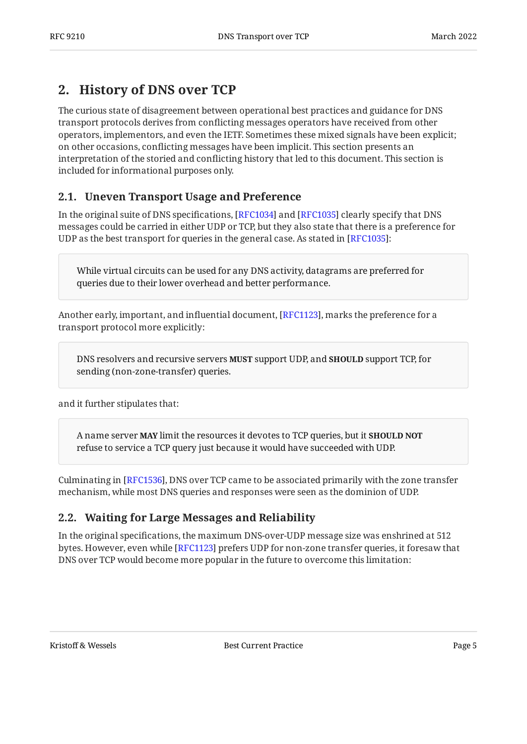# <span id="page-4-0"></span>**[2. History of DNS over TCP](#page-4-0)**

The curious state of disagreement between operational best practices and guidance for DNS transport protocols derives from conflicting messages operators have received from other operators, implementors, and even the IETF. Sometimes these mixed signals have been explicit; on other occasions, conflicting messages have been implicit. This section presents an interpretation of the storied and conflicting history that led to this document. This section is included for informational purposes only.

### <span id="page-4-1"></span>**[2.1. Uneven Transport Usage and Preference](#page-4-1)**

In the original suite of DNS specifications, [RFC1034] and [RFC1035] clearly specify that DNS messages could be carried in either UDP or TCP, but they also state that there is a preference for UDP as the best transport for queries in the general case. As stated in  $[{\rm RFC1035}].$ 

While virtual circuits can be used for any DNS activity, datagrams are preferred for queries due to their lower overhead and better performance.

Another early, important, and influential document, [\[RFC1123](#page-17-0)], marks the preference for a transport protocol more explicitly:

DNS resolvers and recursive servers **MUST** support UDP, and **SHOULD** support TCP, for sending (non-zone-transfer) queries.

and it further stipulates that:

A name server **MAY** limit the resources it devotes to TCP queries, but it **SHOULD NOT** refuse to service a TCP query just because it would have succeeded with UDP.

Culminating in [RFC1536], DNS over TCP came to be associated primarily with the zone transfer mechanism, while most DNS queries and responses were seen as the dominion of UDP.

#### <span id="page-4-2"></span>**[2.2. Waiting for Large Messages and Reliability](#page-4-2)**

In the original specifications, the maximum DNS-over-UDP message size was enshrined at 512 bytes. However, even while [[RFC1123\]](#page-17-0) prefers UDP for non-zone transfer queries, it foresaw that DNS over TCP would become more popular in the future to overcome this limitation: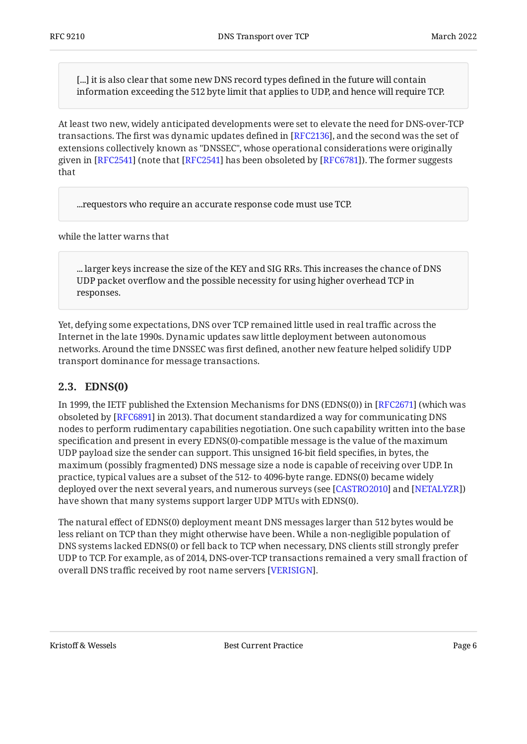[...] it is also clear that some new DNS record types defined in the future will contain information exceeding the 512 byte limit that applies to UDP, and hence will require TCP.

At least two new, widely anticipated developments were set to elevate the need for DNS-over-TCP transactions. The first was dynamic updates defined in [RFC2136], and the second was the set of extensions collectively known as "DNSSEC", whose operational considerations were originally given in [RFC2541] (note that [RFC2541] has been obsoleted by [RFC6781]). The former suggests that

...requestors who require an accurate response code must use TCP.

while the latter warns that

... larger keys increase the size of the KEY and SIG RRs. This increases the chance of DNS UDP packet overflow and the possible necessity for using higher overhead TCP in responses.

Yet, defying some expectations, DNS over TCP remained little used in real traffic across the Internet in the late 1990s. Dynamic updates saw little deployment between autonomous networks. Around the time DNSSEC was first defined, another new feature helped solidify UDP transport dominance for message transactions.

#### <span id="page-5-0"></span>**[2.3. EDNS\(0\)](#page-5-0)**

In 1999, the IETF published the Extension Mechanisms for DNS (EDNS(0)) in [RFC2671] (which was obsoleted by [[RFC6891\]](#page-16-3) in 2013). That document standardized a way for communicating DNS nodes to perform rudimentary capabilities negotiation. One such capability written into the base specification and present in every EDNS(0)-compatible message is the value of the maximum UDP payload size the sender can support. This unsigned 16-bit field specifies, in bytes, the maximum (possibly fragmented) DNS message size a node is capable of receiving over UDP. In practice, typical values are a subset of the 512- to 4096-byte range. EDNS(0) became widely deployed over the next several years, and numerous surveys (see [CASTRO2010] and [NETALYZR]) have shown that many systems support larger UDP MTUs with EDNS(0).

The natural effect of EDNS(0) deployment meant DNS messages larger than 512 bytes would be less reliant on TCP than they might otherwise have been. While a non-negligible population of DNS systems lacked EDNS(0) or fell back to TCP when necessary, DNS clients still strongly prefer UDP to TCP. For example, as of 2014, DNS-over-TCP transactions remained a very small fraction of overall DNS traffic received by root name servers [VERISIGN].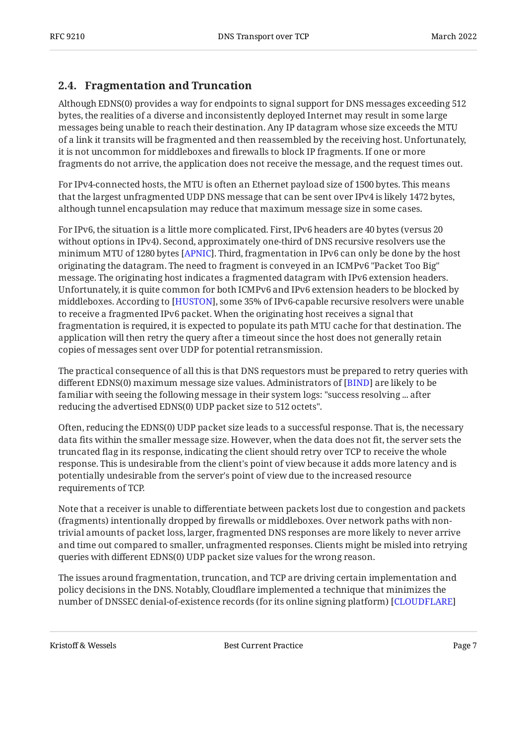#### <span id="page-6-0"></span>**[2.4. Fragmentation and Truncation](#page-6-0)**

Although EDNS(0) provides a way for endpoints to signal support for DNS messages exceeding 512 bytes, the realities of a diverse and inconsistently deployed Internet may result in some large messages being unable to reach their destination. Any IP datagram whose size exceeds the MTU of a link it transits will be fragmented and then reassembled by the receiving host. Unfortunately, it is not uncommon for middleboxes and firewalls to block IP fragments. If one or more fragments do not arrive, the application does not receive the message, and the request times out.

For IPv4-connected hosts, the MTU is often an Ethernet payload size of 1500 bytes. This means that the largest unfragmented UDP DNS message that can be sent over IPv4 is likely 1472 bytes, although tunnel encapsulation may reduce that maximum message size in some cases.

For IPv6, the situation is a little more complicated. First, IPv6 headers are 40 bytes (versus 20 without options in IPv4). Second, approximately one-third of DNS recursive resolvers use the minimum MTU of 1280 bytes [\[APNIC](#page-16-5)]. Third, fragmentation in IPv6 can only be done by the host originating the datagram. The need to fragment is conveyed in an ICMPv6 "Packet Too Big" message. The originating host indicates a fragmented datagram with IPv6 extension headers. Unfortunately, it is quite common for both ICMPv6 and IPv6 extension headers to be blocked by middleboxes. According to [HUSTON], some 35% of IPv6-capable recursive resolvers were unable to receive a fragmented IPv6 packet. When the originating host receives a signal that fragmentation is required, it is expected to populate its path MTU cache for that destination. The application will then retry the query after a timeout since the host does not generally retain copies of messages sent over UDP for potential retransmission.

The practical consequence of all this is that DNS requestors must be prepared to retry queries with different EDNS(0) maximum message size values. Administrators of [BIND] are likely to be familiar with seeing the following message in their system logs: "success resolving ... after reducing the advertised EDNS(0) UDP packet size to 512 octets".

Often, reducing the EDNS(0) UDP packet size leads to a successful response. That is, the necessary data fits within the smaller message size. However, when the data does not fit, the server sets the truncated flag in its response, indicating the client should retry over TCP to receive the whole response. This is undesirable from the client's point of view because it adds more latency and is potentially undesirable from the server's point of view due to the increased resource requirements of TCP.

Note that a receiver is unable to differentiate between packets lost due to congestion and packets (fragments) intentionally dropped by firewalls or middleboxes. Over network paths with nontrivial amounts of packet loss, larger, fragmented DNS responses are more likely to never arrive and time out compared to smaller, unfragmented responses. Clients might be misled into retrying queries with different EDNS(0) UDP packet size values for the wrong reason.

The issues around fragmentation, truncation, and TCP are driving certain implementation and policy decisions in the DNS. Notably, Cloudflare implemented a technique that minimizes the number of DNSSEC denial-of-existence records (for its online signing platform) [\[CLOUDFLARE](#page-16-7)]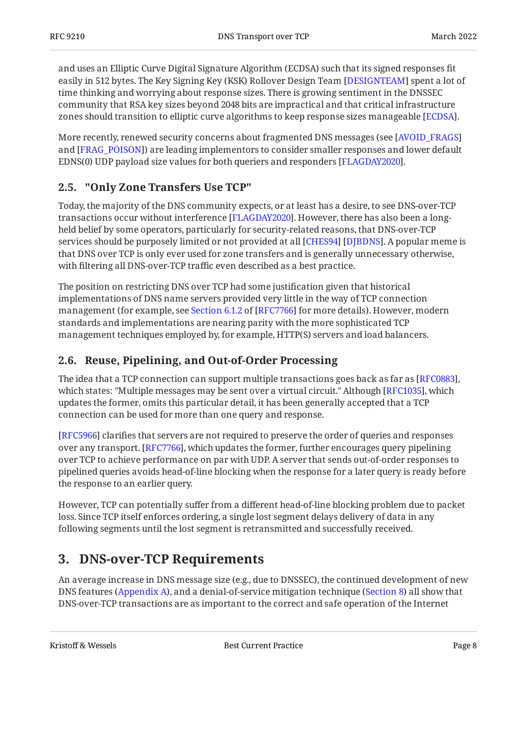and uses an Elliptic Curve Digital Signature Algorithm (ECDSA) such that its signed responses fit easily in 512 bytes. The Key Signing Key (KSK) Rollover Design Team [\[DESIGNTEAM](#page-16-8)] spent a lot of time thinking and worrying about response sizes. There is growing sentiment in the DNSSEC community that RSA key sizes beyond 2048 bits are impractical and that critical infrastructure zones should transition to elliptic curve algorithms to keep response sizes manageable [ECDSA].

More recently, renewed security concerns about fragmented DNS messages (see [[AVOID\\_FRAGS](#page-16-9)] and [FRAG\_POISON]) are leading implementors to consider smaller responses and lower default EDNS(0) UDP payload size values for both queriers and responders [FLAGDAY2020].

### <span id="page-7-0"></span>**[2.5. "Only Zone Transfers Use TCP"](#page-7-0)**

Today, the majority of the DNS community expects, or at least has a desire, to see DNS-over-TCP transactions occur without interference [FLAGDAY2020]. However, there has also been a longheld belief by some operators, particularly for security-related reasons, that DNS-over-TCP services should be purposely limited or not provided at all [CHES94] [DJBDNS]. A popular meme is that DNS over TCP is only ever used for zone transfers and is generally unnecessary otherwise, with filtering all DNS-over-TCP traffic even described as a best practice.

The position on restricting DNS over TCP had some justification given that historical implementations of DNS name servers provided very little in the way of TCP connection management(for example, see Section 6.1.2 of [RFC7766] for more details). However, modern standards and implementations are nearing parity with the more sophisticated TCP management techniques employed by, for example, HTTP(S) servers and load balancers.

#### <span id="page-7-1"></span>**[2.6. Reuse, Pipelining, and Out-of-Order Processing](#page-7-1)**

The idea that a TCP connection can support multiple transactions goes back as far as [RFC0883], which states: "Multiple messages may be sent over a virtual circuit." Although [RFC1035], which updates the former, omits this particular detail, it has been generally accepted that a TCP connection can be used for more than one query and response.

[[RFC5966\]](#page-19-1) clarifies that servers are not required to preserve the order of queries and responses over any transport. [RFC7766], which updates the former, further encourages query pipelining over TCP to achieve performance on par with UDP. A server that sends out-of-order responses to pipelined queries avoids head-of-line blocking when the response for a later query is ready before the response to an earlier query.

However, TCP can potentially suffer from a different head-of-line blocking problem due to packet loss. Since TCP itself enforces ordering, a single lost segment delays delivery of data in any following segments until the lost segment is retransmitted and successfully received.

# <span id="page-7-2"></span>**[3. DNS-over-TCP Requirements](#page-7-2)**

An average increase in DNS message size (e.g., due to DNSSEC), the continued development of new DNS features [\(Appendix A](#page-21-0)), and a denial-of-service mitigation technique ([Section 8\)](#page-14-2) all show that DNS-over-TCP transactions are as important to the correct and safe operation of the Internet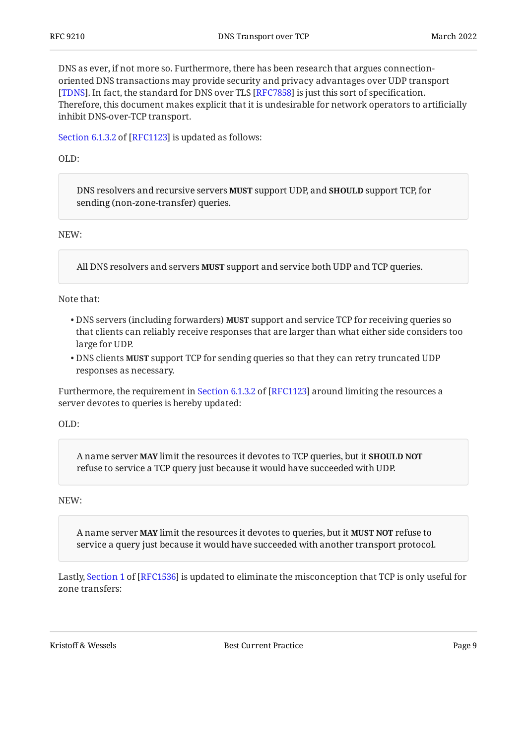DNS as ever, if not more so. Furthermore, there has been research that argues connectionoriented DNS transactions may provide security and privacy advantages over UDP transport [[TDNS\]](#page-21-3). In fact, the standard for DNS over TLS [RFC7858] is just this sort of specification. Therefore, this document makes explicit that it is undesirable for network operators to artificially inhibit DNS-over-TCP transport.

[Section 6.1.3.2](https://www.rfc-editor.org/rfc/rfc1123#section-6.1.3.2) of [\[RFC1123\]](#page-17-0) is updated as follows:

OLD:

DNS resolvers and recursive servers **MUST** support UDP, and **SHOULD** support TCP, for sending (non-zone-transfer) queries.

NEW:

All DNS resolvers and servers MUST support and service both UDP and TCP queries.

Note that:

- DNS servers (including forwarders) **MUST** support and service TCP for receiving queries so that clients can reliably receive responses that are larger than what either side considers too large for UDP.
- $\bullet$  DNS clients **MUST** support TCP for sending queries so that they can retry truncated UDP responses as necessary.

Furthermore,the requirement in Section 6.1.3.2 of [RFC1123] around limiting the resources a server devotes to queries is hereby updated:

OLD:

A name server **MAY** limit the resources it devotes to TCP queries, but it **SHOULD NOT** refuse to service a TCP query just because it would have succeeded with UDP.

NEW:

A name server **MAY** limit the resources it devotes to queries, but it **MUST NOT** refuse to service a query just because it would have succeeded with another transport protocol.

Lastly,Section 1 of [RFC1536] is updated to eliminate the misconception that TCP is only useful for zone transfers:

Kristoff & Wessels Page 9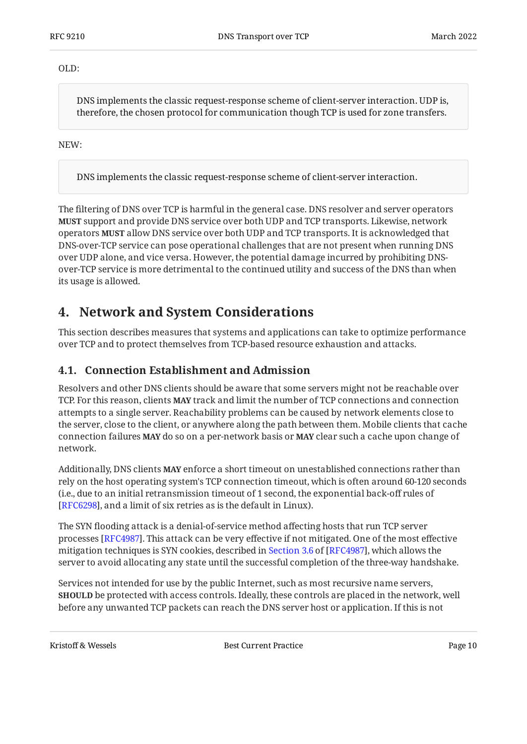OLD:

DNS implements the classic request-response scheme of client-server interaction. UDP is, therefore, the chosen protocol for communication though TCP is used for zone transfers.

NEW:

DNS implements the classic request-response scheme of client-server interaction.

The filtering of DNS over TCP is harmful in the general case. DNS resolver and server operators **MUST** support and provide DNS service over both UDP and TCP transports. Likewise, network operators allow DNS service over both UDP and TCP transports. It is acknowledged that **MUST** DNS-over-TCP service can pose operational challenges that are not present when running DNS over UDP alone, and vice versa. However, the potential damage incurred by prohibiting DNSover-TCP service is more detrimental to the continued utility and success of the DNS than when its usage is allowed.

### <span id="page-9-0"></span>**[4. Network and System Considerations](#page-9-0)**

This section describes measures that systems and applications can take to optimize performance over TCP and to protect themselves from TCP-based resource exhaustion and attacks.

#### <span id="page-9-1"></span>**[4.1. Connection Establishment and Admission](#page-9-1)**

Resolvers and other DNS clients should be aware that some servers might not be reachable over TCP. For this reason, clients **MAY** track and limit the number of TCP connections and connection attempts to a single server. Reachability problems can be caused by network elements close to the server, close to the client, or anywhere along the path between them. Mobile clients that cache connection failures MAY do so on a per-network basis or MAY clear such a cache upon change of network.

Additionally, DNS clients **MAY** enforce a short timeout on unestablished connections rather than rely on the host operating system's TCP connection timeout, which is often around 60-120 seconds (i.e., due to an initial retransmission timeout of 1 second, the exponential back-off rules of [[RFC6298\]](#page-19-3), and a limit of six retries as is the default in Linux).

The SYN flooding attack is a denial-of-service method affecting hosts that run TCP server processes [RFC4987]. This attack can be very effective if not mitigated. One of the most effective mitigationtechniques is SYN cookies, described in Section 3.6 of [RFC4987], which allows the server to avoid allocating any state until the successful completion of the three-way handshake.

Services not intended for use by the public Internet, such as most recursive name servers, be protected with access controls. Ideally, these controls are placed in the network, well **SHOULD** before any unwanted TCP packets can reach the DNS server host or application. If this is not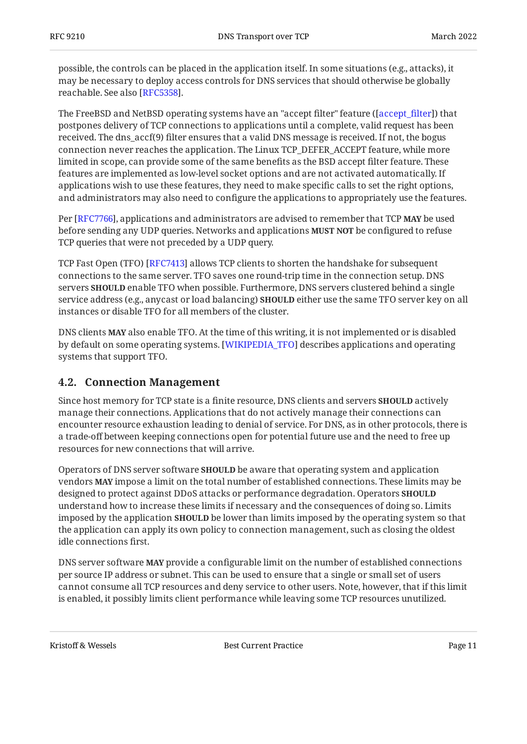possible, the controls can be placed in the application itself. In some situations (e.g., attacks), it may be necessary to deploy access controls for DNS services that should otherwise be globally reachable. See also [RFC5358].

The FreeBSD and NetBSD operating systems have an "accept filter" feature ([accept\_filter]) that postpones delivery of TCP connections to applications until a complete, valid request has been received. The dns\_accf(9) filter ensures that a valid DNS message is received. If not, the bogus connection never reaches the application. The Linux TCP\_DEFER\_ACCEPT feature, while more limited in scope, can provide some of the same benefits as the BSD accept filter feature. These features are implemented as low-level socket options and are not activated automatically. If applications wish to use these features, they need to make specific calls to set the right options, and administrators may also need to configure the applications to appropriately use the features.

Per [RFC7766], applications and administrators are advised to remember that TCP **MAY** be used before sending any UDP queries. Networks and applications **MUST NOT** be configured to refuse TCP queries that were not preceded by a UDP query.

TCP Fast Open (TFO) [RFC7413] allows TCP clients to shorten the handshake for subsequent connections to the same server. TFO saves one round-trip time in the connection setup. DNS  $s$ ervers **SHOULD** enable TFO when possible. Furthermore, DNS servers clustered behind a single service address (e.g., anycast or load balancing) **SHOULD** either use the same TFO server key on all instances or disable TFO for all members of the cluster.

DNS clients **MAY** also enable TFO. At the time of this writing, it is not implemented or is disabled by default on some operating systems. [WIKIPEDIA\_TFO] describes applications and operating systems that support TFO.

#### <span id="page-10-0"></span>**[4.2. Connection Management](#page-10-0)**

Since host memory for TCP state is a finite resource, DNS clients and servers **SHOULD** actively manage their connections. Applications that do not actively manage their connections can encounter resource exhaustion leading to denial of service. For DNS, as in other protocols, there is a trade-off between keeping connections open for potential future use and the need to free up resources for new connections that will arrive.

Operators of DNS server software **SHOULD** be aware that operating system and application  $v$ endors **MAY** impose a limit on the total number of established connections. These limits may be designed to protect against DDoS attacks or performance degradation. Operators **SHOULD** understand how to increase these limits if necessary and the consequences of doing so. Limits imposed by the application **SHOULD** be lower than limits imposed by the operating system so that the application can apply its own policy to connection management, such as closing the oldest idle connections first.

DNS server software **MAY** provide a configurable limit on the number of established connections per source IP address or subnet. This can be used to ensure that a single or small set of users cannot consume all TCP resources and deny service to other users. Note, however, that if this limit is enabled, it possibly limits client performance while leaving some TCP resources unutilized.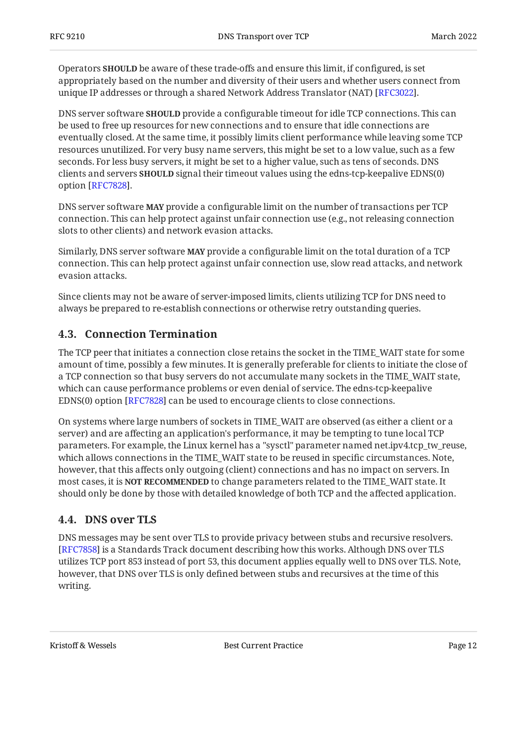Operators **SHOULD** be aware of these trade-offs and ensure this limit, if configured, is set appropriately based on the number and diversity of their users and whether users connect from unique IP addresses or through a shared Network Address Translator (NAT) [RFC3022].

DNS server software **SHOULD** provide a configurable timeout for idle TCP connections. This can be used to free up resources for new connections and to ensure that idle connections are eventually closed. At the same time, it possibly limits client performance while leaving some TCP resources unutilized. For very busy name servers, this might be set to a low value, such as a few seconds. For less busy servers, it might be set to a higher value, such as tens of seconds. DNS clients and servers **SHOULD** signal their timeout values using the edns-tcp-keepalive EDNS(0) option [RFC7828].

DNS server software **MAY** provide a configurable limit on the number of transactions per TCP connection. This can help protect against unfair connection use (e.g., not releasing connection slots to other clients) and network evasion attacks.

Similarly, DNS server software **MAY** provide a configurable limit on the total duration of a TCP connection. This can help protect against unfair connection use, slow read attacks, and network evasion attacks.

Since clients may not be aware of server-imposed limits, clients utilizing TCP for DNS need to always be prepared to re-establish connections or otherwise retry outstanding queries.

#### <span id="page-11-0"></span>**[4.3. Connection Termination](#page-11-0)**

The TCP peer that initiates a connection close retains the socket in the TIME\_WAIT state for some amount of time, possibly a few minutes. It is generally preferable for clients to initiate the close of a TCP connection so that busy servers do not accumulate many sockets in the TIME\_WAIT state, which can cause performance problems or even denial of service. The edns-tcp-keepalive EDNS(0) option [RFC7828] can be used to encourage clients to close connections.

On systems where large numbers of sockets in TIME\_WAIT are observed (as either a client or a server) and are affecting an application's performance, it may be tempting to tune local TCP parameters. For example, the Linux kernel has a "sysctl" parameter named net.ipv4.tcp\_tw\_reuse, which allows connections in the TIME\_WAIT state to be reused in specific circumstances. Note, however, that this affects only outgoing (client) connections and has no impact on servers. In most cases, it is **NOT RECOMMENDED** to change parameters related to the TIME\_WAIT state. It should only be done by those with detailed knowledge of both TCP and the affected application.

#### <span id="page-11-1"></span>**[4.4. DNS over TLS](#page-11-1)**

DNS messages may be sent over TLS to provide privacy between stubs and recursive resolvers. [[RFC7858\]](#page-19-2) is a Standards Track document describing how this works. Although DNS over TLS utilizes TCP port 853 instead of port 53, this document applies equally well to DNS over TLS. Note, however, that DNS over TLS is only defined between stubs and recursives at the time of this writing.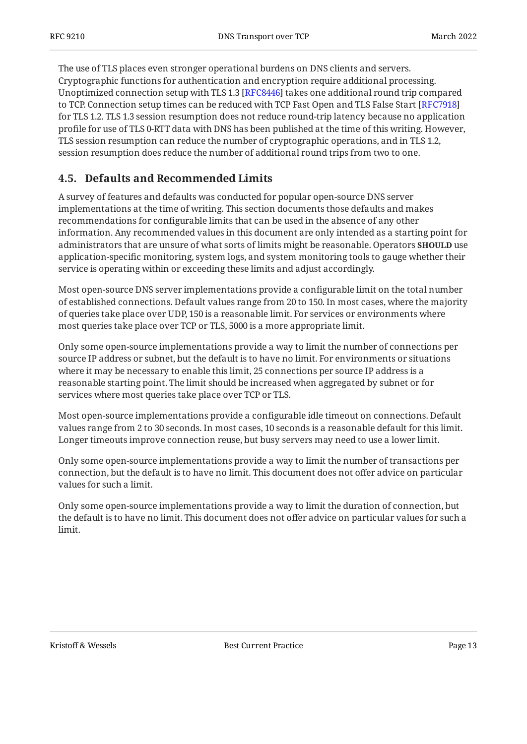The use of TLS places even stronger operational burdens on DNS clients and servers. Cryptographic functions for authentication and encryption require additional processing. Unoptimized connection setup with TLS 1.3 [[RFC8446\]](#page-20-0) takes one additional round trip compared to TCP. Connection setup times can be reduced with TCP Fast Open and TLS False Start [\[RFC7918\]](#page-20-1) for TLS 1.2. TLS 1.3 session resumption does not reduce round-trip latency because no application profile for use of TLS 0-RTT data with DNS has been published at the time of this writing. However, TLS session resumption can reduce the number of cryptographic operations, and in TLS 1.2, session resumption does reduce the number of additional round trips from two to one.

#### <span id="page-12-0"></span>**[4.5. Defaults and Recommended Limits](#page-12-0)**

A survey of features and defaults was conducted for popular open-source DNS server implementations at the time of writing. This section documents those defaults and makes recommendations for configurable limits that can be used in the absence of any other information. Any recommended values in this document are only intended as a starting point for administrators that are unsure of what sorts of limits might be reasonable. Operators **SHOULD** use application-specific monitoring, system logs, and system monitoring tools to gauge whether their service is operating within or exceeding these limits and adjust accordingly.

Most open-source DNS server implementations provide a configurable limit on the total number of established connections. Default values range from 20 to 150. In most cases, where the majority of queries take place over UDP, 150 is a reasonable limit. For services or environments where most queries take place over TCP or TLS, 5000 is a more appropriate limit.

Only some open-source implementations provide a way to limit the number of connections per source IP address or subnet, but the default is to have no limit. For environments or situations where it may be necessary to enable this limit, 25 connections per source IP address is a reasonable starting point. The limit should be increased when aggregated by subnet or for services where most queries take place over TCP or TLS.

Most open-source implementations provide a configurable idle timeout on connections. Default values range from 2 to 30 seconds. In most cases, 10 seconds is a reasonable default for this limit. Longer timeouts improve connection reuse, but busy servers may need to use a lower limit.

Only some open-source implementations provide a way to limit the number of transactions per connection, but the default is to have no limit. This document does not offer advice on particular values for such a limit.

Only some open-source implementations provide a way to limit the duration of connection, but the default is to have no limit. This document does not offer advice on particular values for such a limit.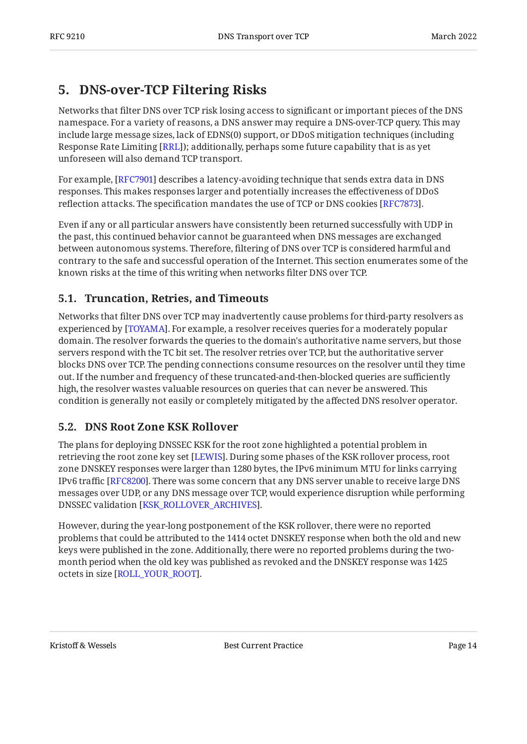# <span id="page-13-0"></span>**[5. DNS-over-TCP Filtering Risks](#page-13-0)**

Networks that filter DNS over TCP risk losing access to significant or important pieces of the DNS namespace. For a variety of reasons, a DNS answer may require a DNS-over-TCP query. This may include large message sizes, lack of EDNS(0) support, or DDoS mitigation techniques (including Response Rate Limiting [RRL]); additionally, perhaps some future capability that is as yet unforeseen will also demand TCP transport.

For example, [RFC7901] describes a latency-avoiding technique that sends extra data in DNS responses. This makes responses larger and potentially increases the effectiveness of DDoS reflection attacks. The specification mandates the use of TCP or DNS cookies [RFC7873].

Even if any or all particular answers have consistently been returned successfully with UDP in the past, this continued behavior cannot be guaranteed when DNS messages are exchanged between autonomous systems. Therefore, filtering of DNS over TCP is considered harmful and contrary to the safe and successful operation of the Internet. This section enumerates some of the known risks at the time of this writing when networks filter DNS over TCP.

#### <span id="page-13-1"></span>**[5.1. Truncation, Retries, and Timeouts](#page-13-1)**

Networks that filter DNS over TCP may inadvertently cause problems for third-party resolvers as experienced by [TOYAMA]. For example, a resolver receives queries for a moderately popular domain. The resolver forwards the queries to the domain's authoritative name servers, but those servers respond with the TC bit set. The resolver retries over TCP, but the authoritative server blocks DNS over TCP. The pending connections consume resources on the resolver until they time out. If the number and frequency of these truncated-and-then-blocked queries are sufficiently high, the resolver wastes valuable resources on queries that can never be answered. This condition is generally not easily or completely mitigated by the affected DNS resolver operator.

### <span id="page-13-2"></span>**[5.2. DNS Root Zone KSK Rollover](#page-13-2)**

The plans for deploying DNSSEC KSK for the root zone highlighted a potential problem in retrieving the root zone key set [LEWIS]. During some phases of the KSK rollover process, root zone DNSKEY responses were larger than 1280 bytes, the IPv6 minimum MTU for links carrying IPv6 traffic [RFC8200]. There was some concern that any DNS server unable to receive large DNS messages over UDP, or any DNS message over TCP, would experience disruption while performing DNSSEC validation [KSK\_ROLLOVER\_ARCHIVES].

However, during the year-long postponement of the KSK rollover, there were no reported problems that could be attributed to the 1414 octet DNSKEY response when both the old and new keys were published in the zone. Additionally, there were no reported problems during the twomonth period when the old key was published as revoked and the DNSKEY response was 1425 octets in size [ROLL\_YOUR\_ROOT].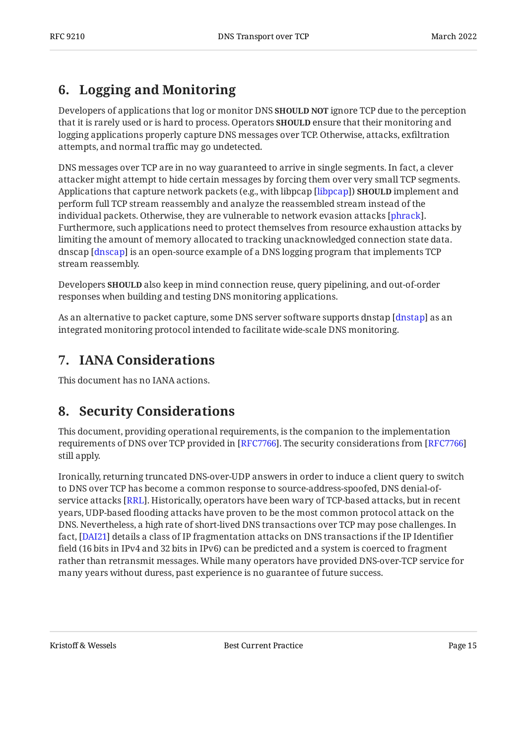# <span id="page-14-0"></span>**[6. Logging and Monitoring](#page-14-0)**

Developers of applications that log or monitor DNS **SHOULD NOT** ignore TCP due to the perception that it is rarely used or is hard to process. Operators **SHOULD** ensure that their monitoring and logging applications properly capture DNS messages over TCP. Otherwise, attacks, exfiltration attempts, and normal traffic may go undetected.

DNS messages over TCP are in no way guaranteed to arrive in single segments. In fact, a clever attacker might attempt to hide certain messages by forcing them over very small TCP segments. Applications that capture network packets (e.g., with libpcap [libpcap]) **SHOULD** implement and perform full TCP stream reassembly and analyze the reassembled stream instead of the individual packets. Otherwise, they are vulnerable to network evasion attacks [phrack]. Furthermore, such applications need to protect themselves from resource exhaustion attacks by limiting the amount of memory allocated to tracking unacknowledged connection state data. dnscap [dnscap] is an open-source example of a DNS logging program that implements TCP stream reassembly.

Developers **SHOULD** also keep in mind connection reuse, query pipelining, and out-of-order responses when building and testing DNS monitoring applications.

As an alternative to packet capture, some DNS server software supports dnstap [dnstap] as an integrated monitoring protocol intended to facilitate wide-scale DNS monitoring.

# <span id="page-14-1"></span>**[7. IANA Considerations](#page-14-1)**

<span id="page-14-2"></span>This document has no IANA actions.

# **[8. Security Considerations](#page-14-2)**

This document, providing operational requirements, is the companion to the implementation requirements of DNS over TCP provided in [[RFC7766\]](#page-16-1). The security considerations from [RFC7766] still apply.

Ironically, returning truncated DNS-over-UDP answers in order to induce a client query to switch to DNS over TCP has become a common response to source-address-spoofed, DNS denial-ofservice attacks [RRL]. Historically, operators have been wary of TCP-based attacks, but in recent years, UDP-based flooding attacks have proven to be the most common protocol attack on the DNS. Nevertheless, a high rate of short-lived DNS transactions over TCP may pose challenges. In fact, [DAI21] details a class of IP fragmentation attacks on DNS transactions if the IP Identifier field (16 bits in IPv4 and 32 bits in IPv6) can be predicted and a system is coerced to fragment rather than retransmit messages. While many operators have provided DNS-over-TCP service for many years without duress, past experience is no guarantee of future success.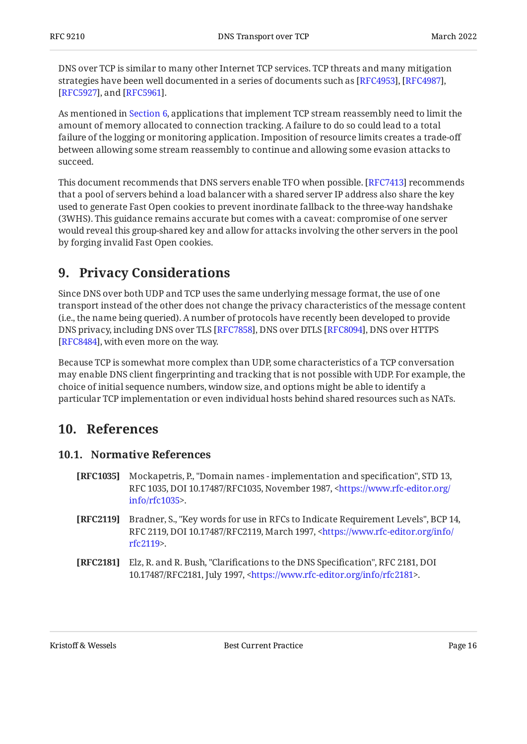DNS over TCP is similar to many other Internet TCP services. TCP threats and many mitigation strategies have been well documented in a series of documents such as [RFC4953], [RFC4987], [[RFC5927\]](#page-19-5), and [RFC5961].

As mentioned in [Section 6,](#page-14-0) applications that implement TCP stream reassembly need to limit the amount of memory allocated to connection tracking. A failure to do so could lead to a total failure of the logging or monitoring application. Imposition of resource limits creates a trade-off between allowing some stream reassembly to continue and allowing some evasion attacks to succeed.

This document recommends that DNS servers enable TFO when possible. [RFC7413] recommends that a pool of servers behind a load balancer with a shared server IP address also share the key used to generate Fast Open cookies to prevent inordinate fallback to the three-way handshake (3WHS). This guidance remains accurate but comes with a caveat: compromise of one server would reveal this group-shared key and allow for attacks involving the other servers in the pool by forging invalid Fast Open cookies.

# <span id="page-15-0"></span>**[9. Privacy Considerations](#page-15-0)**

Since DNS over both UDP and TCP uses the same underlying message format, the use of one transport instead of the other does not change the privacy characteristics of the message content (i.e., the name being queried). A number of protocols have recently been developed to provide DNS privacy, including DNS over TLS [RFC7858], DNS over DTLS [RFC8094], DNS over HTTPS [[RFC8484\]](#page-20-5), with even more on the way.

Because TCP is somewhat more complex than UDP, some characteristics of a TCP conversation may enable DNS client fingerprinting and tracking that is not possible with UDP. For example, the choice of initial sequence numbers, window size, and options might be able to identify a particular TCP implementation or even individual hosts behind shared resources such as NATs.

# <span id="page-15-2"></span><span id="page-15-1"></span>**[10. References](#page-15-1)**

#### **[10.1. Normative References](#page-15-2)**

- <span id="page-15-4"></span>**[RFC1035]** , , , Mockapetris, P. "Domain names - implementation and specification" STD 13 RFC 1035, DOI 10.17487/RFC1035, November 1987, [<https://www.rfc-editor.org/](https://www.rfc-editor.org/info/rfc1035) . [info/rfc1035>](https://www.rfc-editor.org/info/rfc1035)
- <span id="page-15-3"></span>**[RFC2119]** Bradner, S., "Key words for use in RFCs to Indicate Requirement Levels", BCP 14, RFC 2119, DOI 10.17487/RFC2119, March 1997, [<https://www.rfc-editor.org/info/](https://www.rfc-editor.org/info/rfc2119) . [rfc2119](https://www.rfc-editor.org/info/rfc2119)>
- <span id="page-15-5"></span>**[RFC2181]** Elz, R. and R. Bush, "Clarifications to the DNS Specification", RFC 2181, DOI 10.17487/RFC2181, July 1997, <https://www.rfc-editor.org/info/rfc2181>.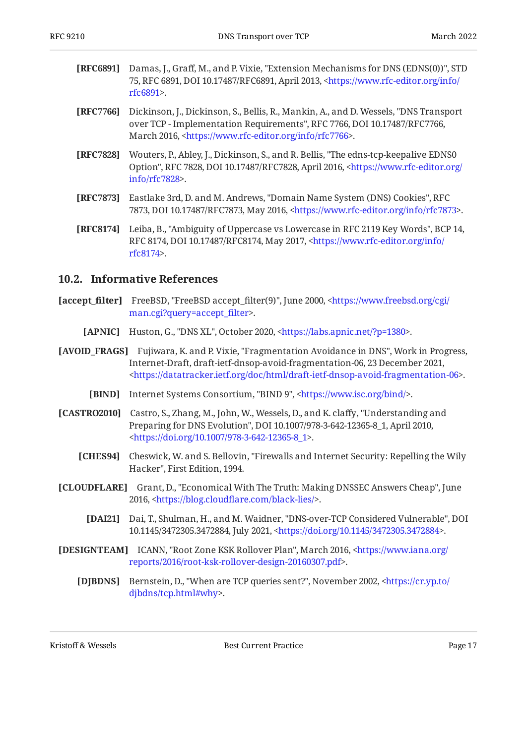- <span id="page-16-3"></span>**[RFC6891]** Damas, J., Graff, M., and P. Vixie, "Extension Mechanisms for DNS (EDNS(0))", STD 75, RFC 6891, DOI 10.17487/RFC6891, April 2013, [<https://www.rfc-editor.org/info/](https://www.rfc-editor.org/info/rfc6891) . [rfc6891](https://www.rfc-editor.org/info/rfc6891)>
- <span id="page-16-1"></span>**[RFC7766]** Dickinson, J., Dickinson, S., Bellis, R., Mankin, A., and D. Wessels, "DNS Transport over TCP - Implementation Requirements", RFC 7766, DOI 10.17487/RFC7766, March 2016, <https://www.rfc-editor.org/info/rfc7766>.
- <span id="page-16-13"></span>**[RFC7828]** Wouters, P., Abley, J., Dickinson, S., and R. Bellis, "The edns-tcp-keepalive EDNS0 Option", RFC 7828, DOI 10.17487/RFC7828, April 2016, [<https://www.rfc-editor.org/](https://www.rfc-editor.org/info/rfc7828) . [info/rfc7828>](https://www.rfc-editor.org/info/rfc7828)
- <span id="page-16-14"></span>**[RFC7873]** Eastlake 3rd, D. and M. Andrews, "Domain Name System (DNS) Cookies", RFC 7873, DOI 10.17487/RFC7873, May 2016, <https://www.rfc-editor.org/info/rfc7873>.
- <span id="page-16-2"></span>**[RFC8174]** Leiba, B., "Ambiguity of Uppercase vs Lowercase in RFC 2119 Key Words", BCP 14, RFC 8174, DOI 10.17487/RFC8174, May 2017, <[https://www.rfc-editor.org/info/](https://www.rfc-editor.org/info/rfc8174) . [rfc8174](https://www.rfc-editor.org/info/rfc8174)>

#### <span id="page-16-0"></span>**[10.2. Informative References](#page-16-0)**

- <span id="page-16-12"></span>**[accept\_filter]** FreeBSD, "FreeBSD accept\_filter(9)", June 2000, [<https://www.freebsd.org/cgi/](https://www.freebsd.org/cgi/man.cgi?query=accept_filter) . [man.cgi?query=accept\\_](https://www.freebsd.org/cgi/man.cgi?query=accept_filter)filter>
	- **[APNIC]** Huston, G., "DNS XL", October 2020, <https://labs.apnic.net/?p=1380>.
- <span id="page-16-9"></span><span id="page-16-5"></span>**[AVOID\_FRAGS]** Fujiwara, K. and P. Vixie, "Fragmentation Avoidance in DNS", Work in Progress, Internet-Draft, draft-ietf-dnsop-avoid-fragmentation-06, 23 December 2021, . [<https://datatracker.ietf.org/doc/html/draft-ietf-dnsop-avoid-fragmentation-06>](https://datatracker.ietf.org/doc/html/draft-ietf-dnsop-avoid-fragmentation-06)
	- **[BIND]** Internet Systems Consortium, "BIND 9", <https://www.isc.org/bind/>.
- <span id="page-16-6"></span><span id="page-16-4"></span>**[CASTRO2010]** Castro, S., Zhang, M., John, W., Wessels, D., and K. claffy, "Understanding and Preparing for DNS Evolution", DOI 10.1007/978-3-642-12365-8\_1, April 2010, . [<https://doi.org/10.1007/978-3-642-12365-8\\_1>](https://doi.org/10.1007/978-3-642-12365-8_1)
	- **[CHES94]** Cheswick, W. and S. Bellovin, "Firewalls and Internet Security: Repelling the Wily Hacker", First Edition, 1994.
- <span id="page-16-15"></span><span id="page-16-10"></span><span id="page-16-7"></span>**[CLOUDFLARE]** Grant, D., "Economical With The Truth: Making DNSSEC Answers Cheap", June 2016, <https://blog.cloudflare.com/black-lies/>.
	- **[DAI21]** Dai, T., Shulman, H., and M. Waidner, "DNS-over-TCP Considered Vulnerable", DOI 10.1145/3472305.3472884, July 2021, <https://doi.org/10.1145/3472305.3472884>.
- <span id="page-16-11"></span><span id="page-16-8"></span>**[DESIGNTEAM]** ICANN, "Root Zone KSK Rollover Plan", March 2016, [<https://www.iana.org/](https://www.iana.org/reports/2016/root-ksk-rollover-design-20160307.pdf) . [reports/2016/root-ksk-rollover-design-20160307.pdf](https://www.iana.org/reports/2016/root-ksk-rollover-design-20160307.pdf)>
	- **[DJBDNS]** Bernstein, D., "When are TCP queries sent?", November 2002, [<https://cr.yp.to/](https://cr.yp.to/djbdns/tcp.html#why) . [djbdns/tcp.html#why](https://cr.yp.to/djbdns/tcp.html#why)>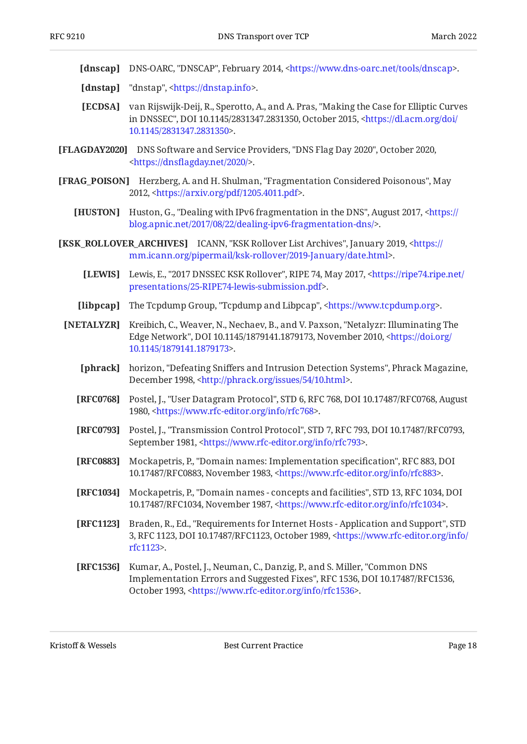<span id="page-17-13"></span>[dnscap] DNS-OARC, "DNSCAP", February 2014, [<https://www.dns-oarc.net/tools/dnscap](https://www.dns-oarc.net/tools/dnscap)>.

- <span id="page-17-14"></span>**[dnstap]** "dnstap", <https://dnstap.info>.
- <span id="page-17-5"></span>**[ECDSA]** van Rijswijk-Deij, R., Sperotto, A., and A. Pras, "Making the Case for Elliptic Curves in DNSSEC", DOI 10.1145/2831347.2831350, October 2015, [<https://dl.acm.org/doi/](https://dl.acm.org/doi/10.1145/2831347.2831350) . [10.1145/2831347.2831350](https://dl.acm.org/doi/10.1145/2831347.2831350)>
- <span id="page-17-7"></span>**[FLAGDAY2020]** DNS Software and Service Providers, "DNS Flag Day 2020", October 2020, . <https://dnsfl[agday.net/2020/](https://dnsflagday.net/2020/)>
- <span id="page-17-6"></span><span id="page-17-4"></span>**[FRAG\_POISON]** Herzberg, A. and H. Shulman, "Fragmentation Considered Poisonous", May 2012, <https://arxiv.org/pdf/1205.4011.pdf>.
	- **[HUSTON]** Huston, G., "Dealing with IPv6 fragmentation in the DNS", August 2017, [<https://](https://blog.apnic.net/2017/08/22/dealing-ipv6-fragmentation-dns/) . [blog.apnic.net/2017/08/22/dealing-ipv6-fragmentation-dns/>](https://blog.apnic.net/2017/08/22/dealing-ipv6-fragmentation-dns/)
- <span id="page-17-16"></span><span id="page-17-15"></span><span id="page-17-12"></span><span id="page-17-11"></span><span id="page-17-10"></span><span id="page-17-9"></span><span id="page-17-3"></span>**[KSK\_ROLLOVER\_ARCHIVES]** ICANN, "KSK Rollover List Archives", January 2019, [<https://](https://mm.icann.org/pipermail/ksk-rollover/2019-January/date.html) . [mm.icann.org/pipermail/ksk-rollover/2019-January/date.html](https://mm.icann.org/pipermail/ksk-rollover/2019-January/date.html)>
	- **[LEWIS]** Lewis, E., "2017 DNSSEC KSK Rollover", RIPE 74, May 2017, [<https://ripe74.ripe.net/](https://ripe74.ripe.net/presentations/25-RIPE74-lewis-submission.pdf) . [presentations/25-RIPE74-lewis-submission.pdf>](https://ripe74.ripe.net/presentations/25-RIPE74-lewis-submission.pdf)
	- **[libpcap]** The Tcpdump Group, "Tcpdump and Libpcap", <https://www.tcpdump.org>.
	- **[NETALYZR]** Kreibich, C., Weaver, N., Nechaev, B., and V. Paxson, "Netalyzr: Illuminating The Edge Network", DOI 10.1145/1879141.1879173, November 2010, [<https://doi.org/](https://doi.org/10.1145/1879141.1879173) . [10.1145/1879141.1879173](https://doi.org/10.1145/1879141.1879173)>
		- **[phrack]** horizon, "Defeating Sniffers and Intrusion Detection Systems", Phrack Magazine, December 1998, <http://phrack.org/issues/54/10.html>.
		- **[RFC0768]** Postel, J., "User Datagram Protocol", STD 6, RFC 768, DOI 10.17487/RFC0768, August 1980, <https://www.rfc-editor.org/info/rfc768>.
		- **[RFC0793]** Postel, J., "Transmission Control Protocol", STD 7, RFC 793, DOI 10.17487/RFC0793, September 1981, <https://www.rfc-editor.org/info/rfc793>.
		- **[RFC0883]** Mockapetris, P., "Domain names: Implementation specification", RFC 883, DOI 10.17487/RFC0883, November 1983, [<https://www.rfc-editor.org/info/rfc883](https://www.rfc-editor.org/info/rfc883)>.
		- **[RFC1034]** Mockapetris, P., "Domain names concepts and facilities", STD 13, RFC 1034, DOI 10.17487/RFC1034, November 1987, [<https://www.rfc-editor.org/info/rfc1034](https://www.rfc-editor.org/info/rfc1034)>.
		- **[RFC1123]** Braden, R., Ed., "Requirements for Internet Hosts Application and Support", STD 3, RFC 1123, DOI 10.17487/RFC1123, October 1989, [<https://www.rfc-editor.org/info/](https://www.rfc-editor.org/info/rfc1123) . [rfc1123](https://www.rfc-editor.org/info/rfc1123)>
		- **[RFC1536]** Kumar, A., Postel, J., Neuman, C., Danzig, P., and S. Miller, "Common DNS Implementation Errors and Suggested Fixes", RFC 1536, DOI 10.17487/RFC1536, October 1993, <https://www.rfc-editor.org/info/rfc1536>.

<span id="page-17-8"></span><span id="page-17-2"></span><span id="page-17-1"></span><span id="page-17-0"></span>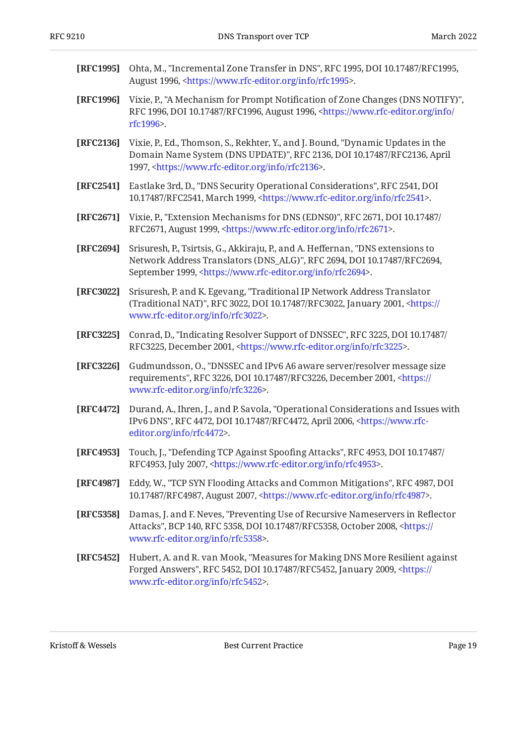<span id="page-18-10"></span><span id="page-18-9"></span><span id="page-18-8"></span><span id="page-18-7"></span><span id="page-18-5"></span><span id="page-18-2"></span><span id="page-18-1"></span><span id="page-18-0"></span>

| [RFC1995] | Ohta, M., "Incremental Zone Transfer in DNS", RFC 1995, DOI 10.17487/RFC1995,<br>August 1996, <https: info="" rfc1995="" www.rfc-editor.org="">.</https:>                                                                                 |
|-----------|-------------------------------------------------------------------------------------------------------------------------------------------------------------------------------------------------------------------------------------------|
| [RFC1996] | Vixie, P., "A Mechanism for Prompt Notification of Zone Changes (DNS NOTIFY)",<br>RFC 1996, DOI 10.17487/RFC1996, August 1996, <https: <br="" info="" www.rfc-editor.org="">rfc1996&gt;.</https:>                                         |
| [RFC2136] | Vixie, P., Ed., Thomson, S., Rekhter, Y., and J. Bound, "Dynamic Updates in the<br>Domain Name System (DNS UPDATE)", RFC 2136, DOI 10.17487/RFC2136, April<br>1997, <https: info="" rfc2136="" www.rfc-editor.org="">.</https:>           |
| [RFC2541] | Eastlake 3rd, D., "DNS Security Operational Considerations", RFC 2541, DOI<br>10.17487/RFC2541, March 1999, <https: info="" rfc2541="" www.rfc-editor.org="">.</https:>                                                                   |
| [RFC2671] | Vixie, P., "Extension Mechanisms for DNS (EDNS0)", RFC 2671, DOI 10.17487/<br>RFC2671, August 1999, <https: info="" rfc2671="" www.rfc-editor.org="">.</https:>                                                                           |
| [RFC2694] | Srisuresh, P., Tsirtsis, G., Akkiraju, P., and A. Heffernan, "DNS extensions to<br>Network Address Translators (DNS_ALG)", RFC 2694, DOI 10.17487/RFC2694,<br>September 1999, <https: info="" rfc2694="" www.rfc-editor.org="">.</https:> |
| [RFC3022] | Srisuresh, P. and K. Egevang, "Traditional IP Network Address Translator<br>(Traditional NAT)", RFC 3022, DOI 10.17487/RFC3022, January 2001, <https: <br="">www.rfc-editor.org/info/rfc3022&gt;.</https:>                                |
| [RFC3225] | Conrad, D., "Indicating Resolver Support of DNSSEC", RFC 3225, DOI 10.17487/<br>RFC3225, December 2001, <https: info="" rfc3225="" www.rfc-editor.org="">.</https:>                                                                       |
| [RFC3226] | Gudmundsson, O., "DNSSEC and IPv6 A6 aware server/resolver message size<br>requirements", RFC 3226, DOI 10.17487/RFC3226, December 2001, <https: <br="">www.rfc-editor.org/info/rfc3226&gt;.</https:>                                     |
| [RFC4472] | Durand, A., Ihren, J., and P. Savola, "Operational Considerations and Issues with<br>IPv6 DNS", RFC 4472, DOI 10.17487/RFC4472, April 2006, <https: www.rfc-<br="">editor.org/info/rfc4472&gt;.</https:>                                  |
| [RFC4953] | Touch, J., "Defending TCP Against Spoofing Attacks", RFC 4953, DOI 10.17487/<br>RFC4953, July 2007, <https: info="" rfc4953="" www.rfc-editor.org="">.</https:>                                                                           |
| [RFC4987] | Eddy, W., "TCP SYN Flooding Attacks and Common Mitigations", RFC 4987, DOI<br>10.17487/RFC4987, August 2007, <https: info="" rfc4987="" www.rfc-editor.org="">.</https:>                                                                  |
| [RFC5358] | Damas, J. and F. Neves, "Preventing Use of Recursive Nameservers in Reflector<br>Attacks", BCP 140, RFC 5358, DOI 10.17487/RFC5358, October 2008, <https: <br="">www.rfc-editor.org/info/rfc5358&gt;.</https:>                            |
| [RFC5452] | Hubert, A. and R. van Mook, "Measures for Making DNS More Resilient against<br>Forged Answers", RFC 5452, DOI 10.17487/RFC5452, January 2009, <https: <br="">www.rfc-editor.org/info/rfc5452&gt;.</https:>                                |

<span id="page-18-13"></span><span id="page-18-12"></span><span id="page-18-11"></span><span id="page-18-6"></span><span id="page-18-4"></span><span id="page-18-3"></span>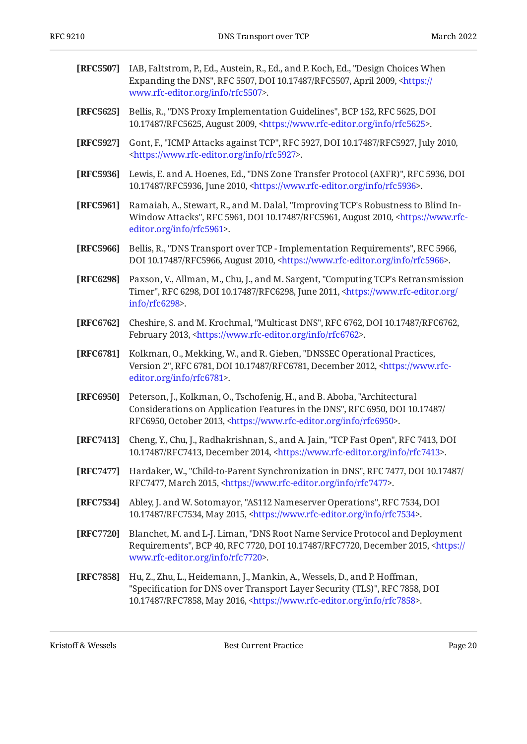<span id="page-19-14"></span><span id="page-19-13"></span><span id="page-19-12"></span><span id="page-19-11"></span><span id="page-19-10"></span><span id="page-19-9"></span><span id="page-19-8"></span><span id="page-19-7"></span><span id="page-19-6"></span><span id="page-19-5"></span><span id="page-19-4"></span><span id="page-19-3"></span><span id="page-19-2"></span><span id="page-19-1"></span><span id="page-19-0"></span>

| [RFC5507] | IAB, Faltstrom, P., Ed., Austein, R., Ed., and P. Koch, Ed., "Design Choices When<br>Expanding the DNS", RFC 5507, DOI 10.17487/RFC5507, April 2009, <https: <br="">www.rfc-editor.org/info/rfc5507&gt;.</https:>                                 |
|-----------|---------------------------------------------------------------------------------------------------------------------------------------------------------------------------------------------------------------------------------------------------|
| [RFC5625] | Bellis, R., "DNS Proxy Implementation Guidelines", BCP 152, RFC 5625, DOI<br>10.17487/RFC5625, August 2009, <https: info="" rfc5625="" www.rfc-editor.org="">.</https:>                                                                           |
| [RFC5927] | Gont, F., "ICMP Attacks against TCP", RFC 5927, DOI 10.17487/RFC5927, July 2010,<br><https: info="" rfc5927="" www.rfc-editor.org="">.</https:>                                                                                                   |
| [RFC5936] | Lewis, E. and A. Hoenes, Ed., "DNS Zone Transfer Protocol (AXFR)", RFC 5936, DOI<br>10.17487/RFC5936, June 2010, <https: info="" rfc5936="" www.rfc-editor.org="">.</https:>                                                                      |
| [RFC5961] | Ramaiah, A., Stewart, R., and M. Dalal, "Improving TCP's Robustness to Blind In-<br>Window Attacks", RFC 5961, DOI 10.17487/RFC5961, August 2010, <https: www.rfc-<br="">editor.org/info/rfc5961&gt;.</https:>                                    |
| [RFC5966] | Bellis, R., "DNS Transport over TCP - Implementation Requirements", RFC 5966,<br>DOI 10.17487/RFC5966, August 2010, <https: info="" rfc5966="" www.rfc-editor.org="">.</https:>                                                                   |
| [RFC6298] | Paxson, V., Allman, M., Chu, J., and M. Sargent, "Computing TCP's Retransmission<br>Timer", RFC 6298, DOI 10.17487/RFC6298, June 2011, <https: <br="" www.rfc-editor.org=""><math>info/rfc6298</math>.</https:>                                   |
| [RFC6762] | Cheshire, S. and M. Krochmal, "Multicast DNS", RFC 6762, DOI 10.17487/RFC6762,<br>February 2013, <https: info="" rfc6762="" www.rfc-editor.org="">.</https:>                                                                                      |
| [RFC6781] | Kolkman, O., Mekking, W., and R. Gieben, "DNSSEC Operational Practices,<br>Version 2", RFC 6781, DOI 10.17487/RFC6781, December 2012, <https: www.rfc-<br="">editor.org/info/rfc6781&gt;.</https:>                                                |
| [RFC6950] | Peterson, J., Kolkman, O., Tschofenig, H., and B. Aboba, "Architectural<br>Considerations on Application Features in the DNS", RFC 6950, DOI 10.17487/<br>RFC6950, October 2013, <https: info="" rfc6950="" www.rfc-editor.org="">.</https:>      |
| [RFC7413] | Cheng, Y., Chu, J., Radhakrishnan, S., and A. Jain, "TCP Fast Open", RFC 7413, DOI<br>10.17487/RFC7413, December 2014, <https: info="" rfc7413="" www.rfc-editor.org="">.</https:>                                                                |
| [RFC7477] | Hardaker, W., "Child-to-Parent Synchronization in DNS", RFC 7477, DOI 10.17487/<br>RFC7477, March 2015, <https: info="" rfc7477="" www.rfc-editor.org="">.</https:>                                                                               |
| [RFC7534] | Abley, J. and W. Sotomayor, "AS112 Nameserver Operations", RFC 7534, DOI<br>10.17487/RFC7534, May 2015, <https: info="" rfc7534="" www.rfc-editor.org="">.</https:>                                                                               |
| [RFC7720] | Blanchet, M. and L-J. Liman, "DNS Root Name Service Protocol and Deployment<br>Requirements", BCP 40, RFC 7720, DOI 10.17487/RFC7720, December 2015, <https: <br="">www.rfc-editor.org/info/rfc7720&gt;.</https:>                                 |
| [RFC7858] | Hu, Z., Zhu, L., Heidemann, J., Mankin, A., Wessels, D., and P. Hoffman,<br>"Specification for DNS over Transport Layer Security (TLS)", RFC 7858, DOI<br>10.17487/RFC7858, May 2016, <https: info="" rfc7858="" www.rfc-editor.org="">.</https:> |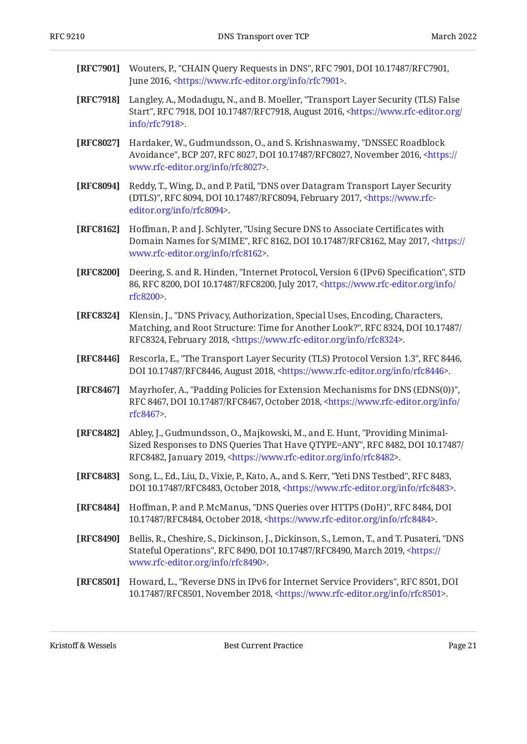- <span id="page-20-2"></span>**[RFC7901]** Wouters, P., "CHAIN Query Requests in DNS", RFC 7901, DOI 10.17487/RFC7901, June 2016, <[https://www.rfc-editor.org/info/rfc7901>](https://www.rfc-editor.org/info/rfc7901).
- <span id="page-20-1"></span>**[RFC7918]** Langley, A., Modadugu, N., and B. Moeller, "Transport Layer Security (TLS) False Start", RFC 7918, DOI 10.17487/RFC7918, August 2016, [<https://www.rfc-editor.org/](https://www.rfc-editor.org/info/rfc7918) . [info/rfc7918>](https://www.rfc-editor.org/info/rfc7918)
- <span id="page-20-6"></span>**[RFC8027]** Hardaker, W., Gudmundsson, O., and S. Krishnaswamy, "DNSSEC Roadblock Avoidance", BCP 207, RFC 8027, DOI 10.17487/RFC8027, November 2016, [<https://](https://www.rfc-editor.org/info/rfc8027) . [www.rfc-editor.org/info/rfc8027>](https://www.rfc-editor.org/info/rfc8027)
- <span id="page-20-4"></span>**[RFC8094]** Reddy, T., Wing, D., and P. Patil, "DNS over Datagram Transport Layer Security (DTLS)", RFC 8094, DOI 10.17487/RFC8094, February 2017, [<https://www.rfc-](https://www.rfc-editor.org/info/rfc8094). [editor.org/info/rfc8094](https://www.rfc-editor.org/info/rfc8094)>
- <span id="page-20-7"></span>**[RFC8162]** Hoffman, P. and J. Schlyter, "Using Secure DNS to Associate Certificates with Domain Names for S/MIME", RFC 8162, DOI 10.17487/RFC8162, May 2017, [<https://](https://www.rfc-editor.org/info/rfc8162) . [www.rfc-editor.org/info/rfc8162>](https://www.rfc-editor.org/info/rfc8162)
- <span id="page-20-3"></span>**[RFC8200]** Deering, S. and R. Hinden, "Internet Protocol, Version 6 (IPv6) Specification", STD 86, RFC 8200, DOI 10.17487/RFC8200, July 2017, [<https://www.rfc-editor.org/info/](https://www.rfc-editor.org/info/rfc8200) . [rfc8200](https://www.rfc-editor.org/info/rfc8200)>
- <span id="page-20-8"></span>**[RFC8324]** , Klensin, J. "DNS Privacy, Authorization, Special Uses, Encoding, Characters, , , Matching, and Root Structure: Time for Another Look?" RFC 8324 DOI 10.17487/ RFC8324, February 2018, <https://www.rfc-editor.org/info/rfc8324>.
- <span id="page-20-0"></span>**[RFC8446]** Rescorla, E., "The Transport Layer Security (TLS) Protocol Version 1.3", RFC 8446, DOI 10.17487/RFC8446, August 2018, <https://www.rfc-editor.org/info/rfc8446>.
- <span id="page-20-9"></span>**[RFC8467]** Mayrhofer, A., "Padding Policies for Extension Mechanisms for DNS (EDNS(0))", RFC 8467, DOI 10.17487/RFC8467, October 2018, [<https://www.rfc-editor.org/info/](https://www.rfc-editor.org/info/rfc8467) . [rfc8467](https://www.rfc-editor.org/info/rfc8467)>
- <span id="page-20-10"></span>**[RFC8482]** Abley, J., Gudmundsson, O., Majkowski, M., and E. Hunt, "Providing Minimal-Sized Responses to DNS Queries That Have QTYPE=ANY", RFC 8482, DOI 10.17487/ RFC8482, January 2019, <https://www.rfc-editor.org/info/rfc8482>.
- <span id="page-20-11"></span>**[RFC8483]** Song, L., Ed., Liu, D., Vixie, P., Kato, A., and S. Kerr, "Yeti DNS Testbed", RFC 8483, DOI 10.17487/RFC8483, October 2018, <https://www.rfc-editor.org/info/rfc8483>.
- <span id="page-20-5"></span>**[RFC8484]** Hoffman, P. and P. McManus, "DNS Queries over HTTPS (DoH)", RFC 8484, DOI 10.17487/RFC8484, October 2018, <https://www.rfc-editor.org/info/rfc8484>.
- <span id="page-20-12"></span>**[RFC8490]** Bellis, R., Cheshire, S., Dickinson, J., Dickinson, S., Lemon, T., and T. Pusateri, "DNS Stateful Operations", RFC 8490, DOI 10.17487/RFC8490, March 2019, <[https://](https://www.rfc-editor.org/info/rfc8490) . [www.rfc-editor.org/info/rfc8490>](https://www.rfc-editor.org/info/rfc8490)
- <span id="page-20-13"></span>**[RFC8501]** Howard, L., "Reverse DNS in IPv6 for Internet Service Providers", RFC 8501, DOI 10.17487/RFC8501, November 2018, <https://www.rfc-editor.org/info/rfc8501>.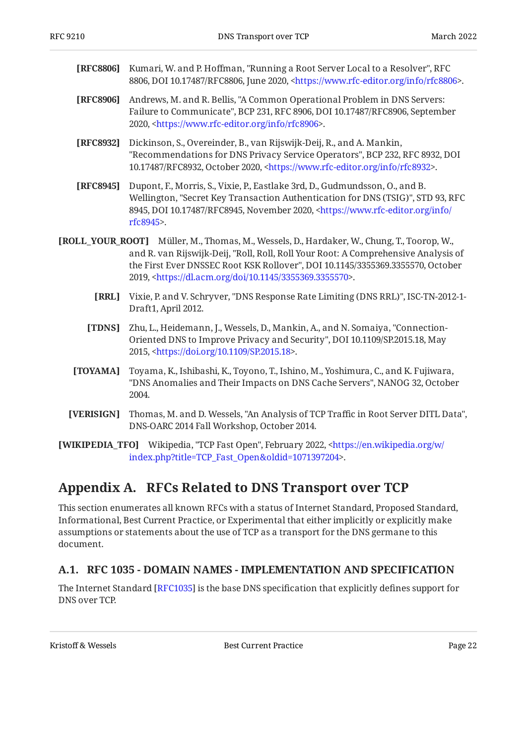- <span id="page-21-8"></span>**[RFC8806]** Kumari, W. and P. Hoffman, "Running a Root Server Local to a Resolver", RFC 8806, DOI 10.17487/RFC8806, June 2020, [<https://www.rfc-editor.org/info/rfc8806](https://www.rfc-editor.org/info/rfc8806)>.
- <span id="page-21-9"></span>**[RFC8906]** Andrews, M. and R. Bellis, "A Common Operational Problem in DNS Servers: Failure to Communicate", BCP 231, RFC 8906, DOI 10.17487/RFC8906, September 2020, <https://www.rfc-editor.org/info/rfc8906>.
- <span id="page-21-10"></span>**[RFC8932]** Dickinson, S., Overeinder, B., van Rijswijk-Deij, R., and A. Mankin, "Recommendations for DNS Privacy Service Operators", BCP 232, RFC 8932, DOI 10.17487/RFC8932, October 2020, <https://www.rfc-editor.org/info/rfc8932>.
- <span id="page-21-11"></span>**[RFC8945]** Dupont, F., Morris, S., Vixie, P., Eastlake 3rd, D., Gudmundsson, O., and B. Wellington, "Secret Key Transaction Authentication for DNS (TSIG)", STD 93, RFC 8945, DOI 10.17487/RFC8945, November 2020, [<https://www.rfc-editor.org/info/](https://www.rfc-editor.org/info/rfc8945) . [rfc8945](https://www.rfc-editor.org/info/rfc8945)>
- <span id="page-21-7"></span><span id="page-21-5"></span><span id="page-21-3"></span>**[ROLL\_YOUR\_ROOT]** Müller, M., Thomas, M., Wessels, D., Hardaker, W., Chung, T., Toorop, W., and R. van Rijswijk-Deij, "Roll, Roll, Roll Your Root: A Comprehensive Analysis of the First Ever DNSSEC Root KSK Rollover", DOI 10.1145/3355369.3355570, October 2019, <https://dl.acm.org/doi/10.1145/3355369.3355570>.
	- **[RRL]** Vixie, P. and V. Schryver, "DNS Response Rate Limiting (DNS RRL)", ISC-TN-2012-1-Draft1, April 2012.
	- **[TDNS]** Zhu, L., Heidemann, J., Wessels, D., Mankin, A., and N. Somaiya, "Connection-Oriented DNS to Improve Privacy and Security", DOI 10.1109/SP.2015.18, May 2015, <https://doi.org/10.1109/SP.2015.18>.
	- **[TOYAMA]** Toyama, K., Ishibashi, K., Toyono, T., Ishino, M., Yoshimura, C., and K. Fujiwara, "DNS Anomalies and Their Impacts on DNS Cache Servers", NANOG 32, October 2004.
	- **[VERISIGN]** Thomas, M. and D. Wessels, "An Analysis of TCP Traffic in Root Server DITL Data", DNS-OARC 2014 Fall Workshop, October 2014.  $\,$
- <span id="page-21-6"></span><span id="page-21-4"></span><span id="page-21-2"></span><span id="page-21-0"></span>**[WIKIPEDIA\_TFO]** Wikipedia, "TCP Fast Open", February 2022, [<https://en.wikipedia.org/w/](https://en.wikipedia.org/w/index.php?title=TCP_Fast_Open&oldid=1071397204) . [index.php?title=TCP\\_Fast\\_Open&oldid=1071397204>](https://en.wikipedia.org/w/index.php?title=TCP_Fast_Open&oldid=1071397204)

### **[Appendix A. RFCs Related to DNS Transport over TCP](#page-21-0)**

This section enumerates all known RFCs with a status of Internet Standard, Proposed Standard, Informational, Best Current Practice, or Experimental that either implicitly or explicitly make assumptions or statements about the use of TCP as a transport for the DNS germane to this document.

#### <span id="page-21-1"></span>**[A.1. RFC 1035 - DOMAIN NAMES - IMPLEMENTATION AND SPECIFICATION](#page-21-1)**

The Internet Standard [RFC1035] is the base DNS specification that explicitly defines support for DNS over TCP.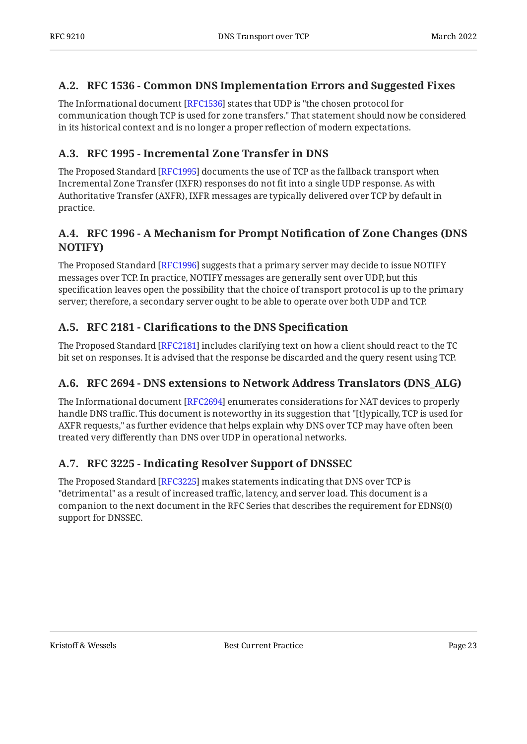#### <span id="page-22-0"></span>**[A.2. RFC 1536 - Common DNS Implementation Errors and Suggested Fixes](#page-22-0)**

The Informational document [\[RFC1536](#page-17-1)] states that UDP is "the chosen protocol for communication though TCP is used for zone transfers." That statement should now be considered in its historical context and is no longer a proper reflection of modern expectations.

#### <span id="page-22-1"></span>**[A.3. RFC 1995 - Incremental Zone Transfer in DNS](#page-22-1)**

The Proposed Standard [RFC1995] documents the use of TCP as the fallback transport when Incremental Zone Transfer (IXFR) responses do not fit into a single UDP response. As with Authoritative Transfer (AXFR), IXFR messages are typically delivered over TCP by default in practice.

### <span id="page-22-2"></span>**[A.4. RFC 1996 - A Mechanism for Prompt Noti](#page-22-2)fication of Zone Changes (DNS [NOTIFY\)](#page-22-2)**

The Proposed Standard [RFC1996] suggests that a primary server may decide to issue NOTIFY messages over TCP. In practice, NOTIFY messages are generally sent over UDP, but this specification leaves open the possibility that the choice of transport protocol is up to the primary server; therefore, a secondary server ought to be able to operate over both UDP and TCP.

### <span id="page-22-3"></span>**[A.5.](#page-22-3) RFC 2181 - Clarifi[cations to the DNS Speci](#page-22-3)fication**

The Proposed Standard [RFC2181] includes clarifying text on how a client should react to the TC bit set on responses. It is advised that the response be discarded and the query resent using TCP.

### <span id="page-22-4"></span>**[A.6. RFC 2694 - DNS extensions to Network Address Translators \(DNS\\_ALG\)](#page-22-4)**

The Informational document [RFC2694] enumerates considerations for NAT devices to properly handle DNS traffic. This document is noteworthy in its suggestion that "[t]ypically, TCP is used for AXFR requests," as further evidence that helps explain why DNS over TCP may have often been treated very differently than DNS over UDP in operational networks.

### <span id="page-22-5"></span>**[A.7. RFC 3225 - Indicating Resolver Support of DNSSEC](#page-22-5)**

The Proposed Standard [RFC3225] makes statements indicating that DNS over TCP is "detrimental" as a result of increased traffic, latency, and server load. This document is a companion to the next document in the RFC Series that describes the requirement for EDNS(0) support for DNSSEC.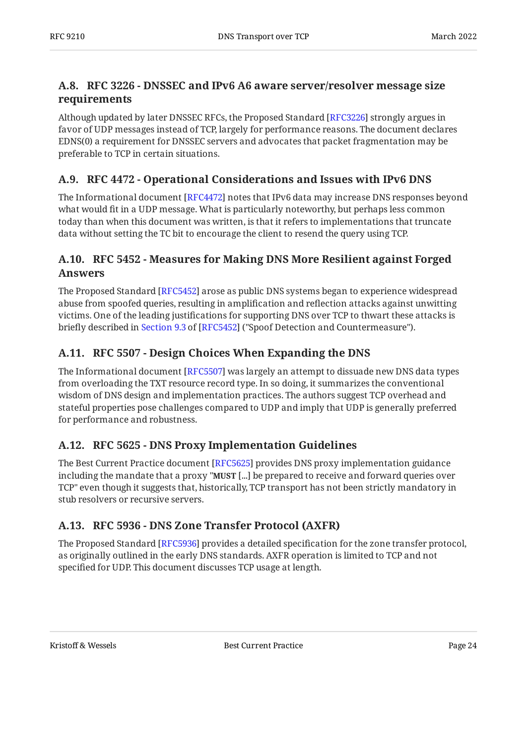#### <span id="page-23-0"></span>**[A.8. RFC 3226 - DNSSEC and IPv6 A6 aware server/resolver message size](#page-23-0) [requirements](#page-23-0)**

Although updated by later DNSSEC RFCs, the Proposed Standard [RFC3226] strongly argues in favor of UDP messages instead of TCP, largely for performance reasons. The document declares EDNS(0) a requirement for DNSSEC servers and advocates that packet fragmentation may be preferable to TCP in certain situations.

#### <span id="page-23-1"></span>**[A.9. RFC 4472 - Operational Considerations and Issues with IPv6 DNS](#page-23-1)**

The Informational document [RFC4472] notes that IPv6 data may increase DNS responses beyond what would fit in a UDP message. What is particularly noteworthy, but perhaps less common today than when this document was written, is that it refers to implementations that truncate data without setting the TC bit to encourage the client to resend the query using TCP.

#### <span id="page-23-2"></span>**[A.10. RFC 5452 - Measures for Making DNS More Resilient against Forged](#page-23-2) [Answers](#page-23-2)**

The Proposed Standard [RFC5452] arose as public DNS systems began to experience widespread abuse from spoofed queries, resulting in amplification and reflection attacks against unwitting victims. One of the leading justifications for supporting DNS over TCP to thwart these attacks is brieflydescribed in Section 9.3 of [RFC5452] ("Spoof Detection and Countermeasure").

#### <span id="page-23-3"></span>**[A.11. RFC 5507 - Design Choices When Expanding the DNS](#page-23-3)**

The Informational document [RFC5507] was largely an attempt to dissuade new DNS data types from overloading the TXT resource record type. In so doing, it summarizes the conventional wisdom of DNS design and implementation practices. The authors suggest TCP overhead and stateful properties pose challenges compared to UDP and imply that UDP is generally preferred for performance and robustness.

#### <span id="page-23-4"></span>**[A.12. RFC 5625 - DNS Proxy Implementation Guidelines](#page-23-4)**

The Best Current Practice document [RFC5625] provides DNS proxy implementation guidance including the mandate that a proxy "**MUST** [...] be prepared to receive and forward queries over TCP" even though it suggests that, historically, TCP transport has not been strictly mandatory in stub resolvers or recursive servers.

#### <span id="page-23-5"></span>**[A.13. RFC 5936 - DNS Zone Transfer Protocol \(AXFR\)](#page-23-5)**

The Proposed Standard [RFC5936] provides a detailed specification for the zone transfer protocol, as originally outlined in the early DNS standards. AXFR operation is limited to TCP and not specified for UDP. This document discusses TCP usage at length.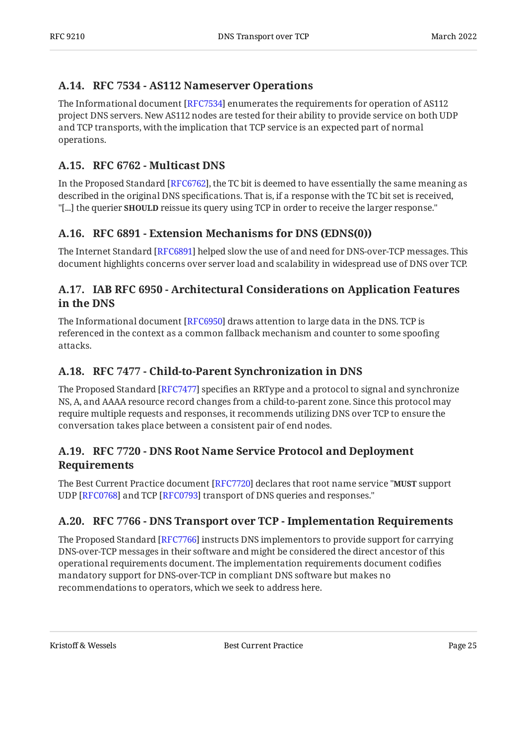#### <span id="page-24-0"></span>**[A.14. RFC 7534 - AS112 Nameserver Operations](#page-24-0)**

The Informational document [\[RFC7534](#page-19-10)] enumerates the requirements for operation of AS112  $\,$ project DNS servers. New AS112 nodes are tested for their ability to provide service on both UDP and TCP transports, with the implication that TCP service is an expected part of normal operations.

#### <span id="page-24-1"></span>**[A.15. RFC 6762 - Multicast DNS](#page-24-1)**

In the Proposed Standard [RFC6762], the TC bit is deemed to have essentially the same meaning as described in the original DNS specifications. That is, if a response with the TC bit set is received, "[...] the querier **SHOULD** reissue its query using TCP in order to receive the larger response."

#### <span id="page-24-2"></span>**[A.16. RFC 6891 - Extension Mechanisms for DNS \(EDNS\(0\)\)](#page-24-2)**

The Internet Standard [RFC6891] helped slow the use of and need for DNS-over-TCP messages. This document highlights concerns over server load and scalability in widespread use of DNS over TCP.

#### <span id="page-24-3"></span>**[A.17. IAB RFC 6950 - Architectural Considerations on Application Features](#page-24-3) [in the DNS](#page-24-3)**

The Informational document [\[RFC6950](#page-19-12)] draws attention to large data in the DNS. TCP is referenced in the context as a common fallback mechanism and counter to some spoofing attacks.

#### <span id="page-24-4"></span>**[A.18. RFC 7477 - Child-to-Parent Synchronization in DNS](#page-24-4)**

The Proposed Standard [RFC7477] specifies an RRType and a protocol to signal and synchronize NS, A, and AAAA resource record changes from a child-to-parent zone. Since this protocol may require multiple requests and responses, it recommends utilizing DNS over TCP to ensure the conversation takes place between a consistent pair of end nodes.

#### <span id="page-24-5"></span>**[A.19. RFC 7720 - DNS Root Name Service Protocol and Deployment](#page-24-5) [Requirements](#page-24-5)**

The Best Current Practice document [RFC7720] declares that root name service "**MUST** support UDP [RFC0768] and TCP [RFC0793] transport of DNS queries and responses."

#### <span id="page-24-6"></span>**[A.20. RFC 7766 - DNS Transport over TCP - Implementation Requirements](#page-24-6)**

The Proposed Standard [RFC7766] instructs DNS implementors to provide support for carrying DNS-over-TCP messages in their software and might be considered the direct ancestor of this operational requirements document. The implementation requirements document codifies mandatory support for DNS-over-TCP in compliant DNS software but makes no recommendations to operators, which we seek to address here.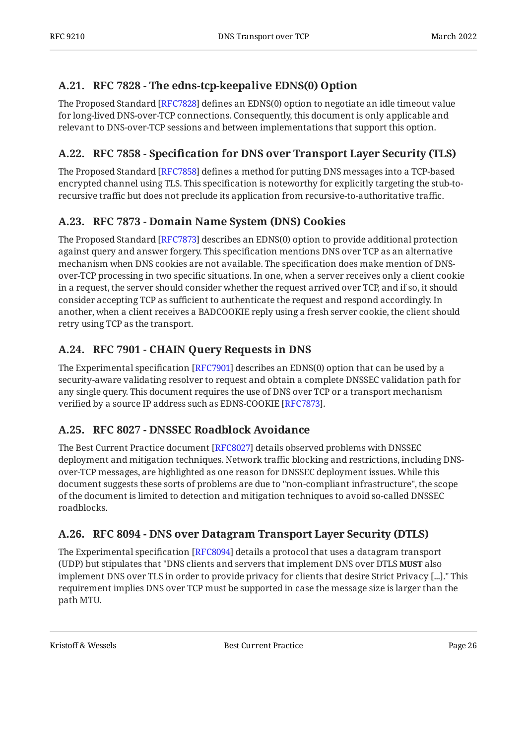#### <span id="page-25-0"></span>**[A.21. RFC 7828 - The edns-tcp-keepalive EDNS\(0\) Option](#page-25-0)**

The Proposed Standard [\[RFC7828\]](#page-16-13) defines an EDNS(0) option to negotiate an idle timeout value for long-lived DNS-over-TCP connections. Consequently, this document is only applicable and relevant to DNS-over-TCP sessions and between implementations that support this option.

#### <span id="page-25-1"></span>**[A.22. R](#page-25-1)FC 7858 - Specifi[cation for DNS over Transport Layer Security \(TLS\)](#page-25-1)**

The Proposed Standard [RFC7858] defines a method for putting DNS messages into a TCP-based encrypted channel using TLS. This specification is noteworthy for explicitly targeting the stub-torecursive traffic but does not preclude its application from recursive-to-authoritative traffic.

### <span id="page-25-2"></span>**[A.23. RFC 7873 - Domain Name System \(DNS\) Cookies](#page-25-2)**

The Proposed Standard [RFC7873] describes an EDNS(0) option to provide additional protection against query and answer forgery. This specification mentions DNS over TCP as an alternative mechanism when DNS cookies are not available. The specification does make mention of DNSover-TCP processing in two specific situations. In one, when a server receives only a client cookie in a request, the server should consider whether the request arrived over TCP, and if so, it should consider accepting TCP as sufficient to authenticate the request and respond accordingly. In another, when a client receives a BADCOOKIE reply using a fresh server cookie, the client should retry using TCP as the transport.

### <span id="page-25-3"></span>**[A.24. RFC 7901 - CHAIN Query Requests in DNS](#page-25-3)**

The Experimental specification [\[RFC7901](#page-20-2)] describes an EDNS(0) option that can be used by a security-aware validating resolver to request and obtain a complete DNSSEC validation path for any single query. This document requires the use of DNS over TCP or a transport mechanism verified by a source IP address such as EDNS-COOKIE [[RFC7873\]](#page-16-14).

### <span id="page-25-4"></span>**[A.25. RFC 8027 - DNSSEC Roadblock Avoidance](#page-25-4)**

The Best Current Practice document [[RFC8027\]](#page-20-6) details observed problems with DNSSEC deployment and mitigation techniques. Network traffic blocking and restrictions, including DNSover-TCP messages, are highlighted as one reason for DNSSEC deployment issues. While this document suggests these sorts of problems are due to "non-compliant infrastructure", the scope of the document is limited to detection and mitigation techniques to avoid so-called DNSSEC roadblocks.

#### <span id="page-25-5"></span>**[A.26. RFC 8094 - DNS over Datagram Transport Layer Security \(DTLS\)](#page-25-5)**

The Experimental specification [\[RFC8094](#page-20-4)] details a protocol that uses a datagram transport (UDP) but stipulates that "DNS clients and servers that implement DNS over DTLS **MUST** also implement DNS over TLS in order to provide privacy for clients that desire Strict Privacy [...]." This requirement implies DNS over TCP must be supported in case the message size is larger than the path MTU.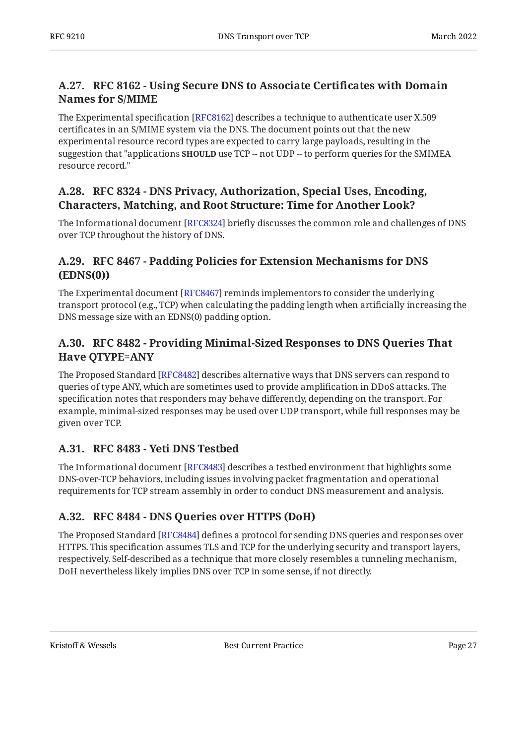#### <span id="page-26-0"></span>**[A.27. RFC 8162 - Using Secure DNS to Associate Certi](#page-26-0)ficates with Domain [Names for S/MIME](#page-26-0)**

The Experimental specification [\[RFC8162](#page-20-7)] describes a technique to authenticate user X.509  $\,$ certificates in an S/MIME system via the DNS. The document points out that the new experimental resource record types are expected to carry large payloads, resulting in the suggestion that "applications **SHOULD** use TCP -- not UDP -- to perform queries for the SMIMEA resource record."

#### <span id="page-26-1"></span>**[A.28. RFC 8324 - DNS Privacy, Authorization, Special Uses, Encoding,](#page-26-1) [Characters, Matching, and Root Structure: Time for Another Look?](#page-26-1)**

The Informational document [RFC8324] briefly discusses the common role and challenges of DNS  $\,$ over TCP throughout the history of DNS.

#### <span id="page-26-2"></span>**[A.29. RFC 8467 - Padding Policies for Extension Mechanisms for DNS](#page-26-2) [\(EDNS\(0\)\)](#page-26-2)**

The Experimental document [RFC8467] reminds implementors to consider the underlying transport protocol (e.g., TCP) when calculating the padding length when artificially increasing the DNS message size with an EDNS(0) padding option.

#### <span id="page-26-3"></span>**[A.30. RFC 8482 - Providing Minimal-Sized Responses to DNS Queries That](#page-26-3) [Have QTYPE=ANY](#page-26-3)**

The Proposed Standard [RFC8482] describes alternative ways that DNS servers can respond to queries of type ANY, which are sometimes used to provide amplification in DDoS attacks. The specification notes that responders may behave differently, depending on the transport. For example, minimal-sized responses may be used over UDP transport, while full responses may be given over TCP.

### <span id="page-26-4"></span>**[A.31. RFC 8483 - Yeti DNS Testbed](#page-26-4)**

The Informational document [RFC8483] describes a testbed environment that highlights some DNS-over-TCP behaviors, including issues involving packet fragmentation and operational requirements for TCP stream assembly in order to conduct DNS measurement and analysis.

### <span id="page-26-5"></span>**[A.32. RFC 8484 - DNS Queries over HTTPS \(DoH\)](#page-26-5)**

The Proposed Standard [\[RFC8484\]](#page-20-5) defines a protocol for sending DNS queries and responses over HTTPS. This specification assumes TLS and TCP for the underlying security and transport layers, respectively. Self-described as a technique that more closely resembles a tunneling mechanism, DoH nevertheless likely implies DNS over TCP in some sense, if not directly.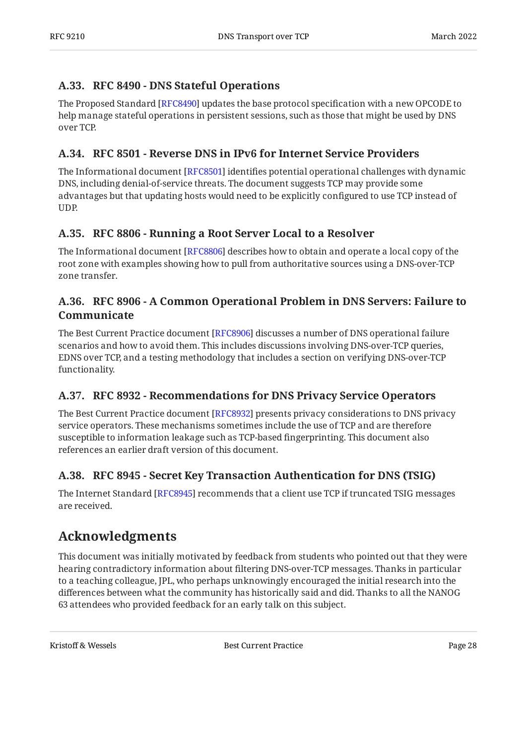#### <span id="page-27-0"></span>**[A.33. RFC 8490 - DNS Stateful Operations](#page-27-0)**

The Proposed Standard [RFC8490] updates the base protocol specification with a new OPCODE to help manage stateful operations in persistent sessions, such as those that might be used by DNS over TCP.

#### <span id="page-27-1"></span>**[A.34. RFC 8501 - Reverse DNS in IPv6 for Internet Service Providers](#page-27-1)**

The Informational document [RFC8501] identifies potential operational challenges with dynamic DNS, including denial-of-service threats. The document suggests TCP may provide some advantages but that updating hosts would need to be explicitly configured to use TCP instead of UDP.

#### <span id="page-27-2"></span>**[A.35. RFC 8806 - Running a Root Server Local to a Resolver](#page-27-2)**

The Informational document [RFC8806] describes how to obtain and operate a local copy of the root zone with examples showing how to pull from authoritative sources using a DNS-over-TCP zone transfer.

#### <span id="page-27-3"></span>**[A.36. RFC 8906 - A Common Operational Problem in DNS Servers: Failure to](#page-27-3) [Communicate](#page-27-3)**

The Best Current Practice document [RFC8906] discusses a number of DNS operational failure scenarios and how to avoid them. This includes discussions involving DNS-over-TCP queries, EDNS over TCP, and a testing methodology that includes a section on verifying DNS-over-TCP functionality.

#### <span id="page-27-4"></span>**[A.37. RFC 8932 - Recommendations for DNS Privacy Service Operators](#page-27-4)**

The Best Current Practice document [RFC8932] presents privacy considerations to DNS privacy service operators. These mechanisms sometimes include the use of TCP and are therefore susceptible to information leakage such as TCP-based fingerprinting. This document also references an earlier draft version of this document.

### <span id="page-27-5"></span>**[A.38. RFC 8945 - Secret Key Transaction Authentication for DNS \(TSIG\)](#page-27-5)**

The Internet Standard [[RFC8945\]](#page-21-11) recommends that a client use TCP if truncated TSIG messages are received.

# <span id="page-27-6"></span>**[Acknowledgments](#page-27-6)**

This document was initially motivated by feedback from students who pointed out that they were hearing contradictory information about filtering DNS-over-TCP messages. Thanks in particular to a teaching colleague, JPL, who perhaps unknowingly encouraged the initial research into the differences between what the community has historically said and did. Thanks to all the NANOG 63 attendees who provided feedback for an early talk on this subject.